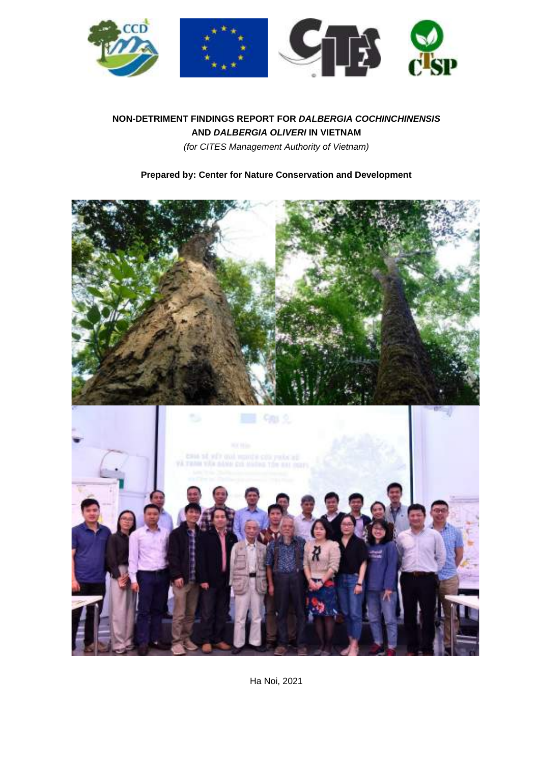

## **NON-DETRIMENT FINDINGS REPORT FOR DALBERGIA COCHINCHINENSIS AND DALBERGIA OLIVERI IN VIETNAM** (for CITES Management Authority of Vietnam)

# **Prepared by: Center for Nature Conservation and Development**



Ha Noi, 2021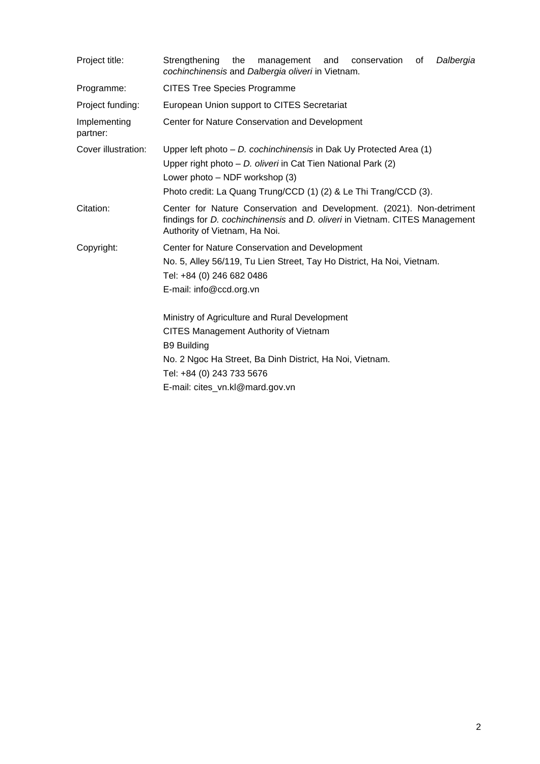| Project title:           | Strengthening<br>the<br>management<br>and<br>conservation<br>Dalbergia<br>of<br>cochinchinensis and Dalbergia oliveri in Vietnam.                                                                                                               |  |  |  |  |  |  |  |
|--------------------------|-------------------------------------------------------------------------------------------------------------------------------------------------------------------------------------------------------------------------------------------------|--|--|--|--|--|--|--|
| Programme:               | <b>CITES Tree Species Programme</b>                                                                                                                                                                                                             |  |  |  |  |  |  |  |
| Project funding:         | European Union support to CITES Secretariat                                                                                                                                                                                                     |  |  |  |  |  |  |  |
| Implementing<br>partner: | Center for Nature Conservation and Development                                                                                                                                                                                                  |  |  |  |  |  |  |  |
| Cover illustration:      | Upper left photo $- D$ . cochinchinensis in Dak Uy Protected Area (1)<br>Upper right photo - D. oliveri in Cat Tien National Park (2)<br>Lower photo - NDF workshop (3)<br>Photo credit: La Quang Trung/CCD (1) (2) & Le Thi Trang/CCD (3).     |  |  |  |  |  |  |  |
| Citation:                | Center for Nature Conservation and Development. (2021). Non-detriment<br>findings for <i>D. cochinchinensis</i> and <i>D. oliveri</i> in Vietnam. CITES Management<br>Authority of Vietnam, Ha Noi.                                             |  |  |  |  |  |  |  |
| Copyright:               | Center for Nature Conservation and Development<br>No. 5, Alley 56/119, Tu Lien Street, Tay Ho District, Ha Noi, Vietnam.<br>Tel: +84 (0) 246 682 0486<br>E-mail: info@ccd.org.vn                                                                |  |  |  |  |  |  |  |
|                          | Ministry of Agriculture and Rural Development<br><b>CITES Management Authority of Vietnam</b><br><b>B9 Building</b><br>No. 2 Ngoc Ha Street, Ba Dinh District, Ha Noi, Vietnam.<br>Tel: +84 (0) 243 733 5676<br>E-mail: cites_vn.kl@mard.gov.vn |  |  |  |  |  |  |  |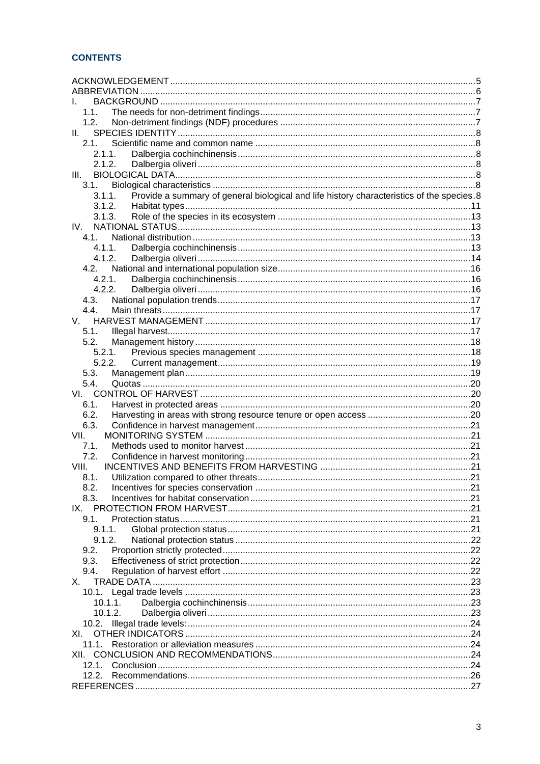| 1.1.                                                                                                |  |  |  |
|-----------------------------------------------------------------------------------------------------|--|--|--|
| 1.2.                                                                                                |  |  |  |
| Ш.                                                                                                  |  |  |  |
| 2.1                                                                                                 |  |  |  |
| 2.1.1.                                                                                              |  |  |  |
| 2.1.2.<br>III.                                                                                      |  |  |  |
| 3.1.                                                                                                |  |  |  |
| Provide a summary of general biological and life history characteristics of the species.8<br>3.1.1. |  |  |  |
| 3.1.2.                                                                                              |  |  |  |
| 3.1.3.                                                                                              |  |  |  |
| IV.                                                                                                 |  |  |  |
| 4.1                                                                                                 |  |  |  |
| 4.1.1.                                                                                              |  |  |  |
| 4.1.2.                                                                                              |  |  |  |
| 4.2                                                                                                 |  |  |  |
| 4.2.1.                                                                                              |  |  |  |
| 4.2.2.                                                                                              |  |  |  |
| 4.3.                                                                                                |  |  |  |
| 4.4.                                                                                                |  |  |  |
| V.                                                                                                  |  |  |  |
| 5.1.                                                                                                |  |  |  |
| 5.2.                                                                                                |  |  |  |
| 5.2.1.                                                                                              |  |  |  |
| 5.2.2.                                                                                              |  |  |  |
| 5.3.                                                                                                |  |  |  |
| 5.4.                                                                                                |  |  |  |
|                                                                                                     |  |  |  |
| 6.1.                                                                                                |  |  |  |
| 6.2.                                                                                                |  |  |  |
| 6.3.                                                                                                |  |  |  |
| VII.                                                                                                |  |  |  |
| 7.1.                                                                                                |  |  |  |
| 7.2.                                                                                                |  |  |  |
| VIII.                                                                                               |  |  |  |
| 8.1.                                                                                                |  |  |  |
| 8.2.                                                                                                |  |  |  |
| 8.3.                                                                                                |  |  |  |
| IX.                                                                                                 |  |  |  |
| 9.1.                                                                                                |  |  |  |
| 9.1.1.                                                                                              |  |  |  |
| 9.1.2.                                                                                              |  |  |  |
| 9.2.                                                                                                |  |  |  |
| 9.3.                                                                                                |  |  |  |
| 9.4.                                                                                                |  |  |  |
| Х.                                                                                                  |  |  |  |
|                                                                                                     |  |  |  |
| 10.1.1.                                                                                             |  |  |  |
| 10.1.2.                                                                                             |  |  |  |
|                                                                                                     |  |  |  |
| XI.                                                                                                 |  |  |  |
| 11.1.                                                                                               |  |  |  |
|                                                                                                     |  |  |  |
| 12.1.                                                                                               |  |  |  |
|                                                                                                     |  |  |  |
|                                                                                                     |  |  |  |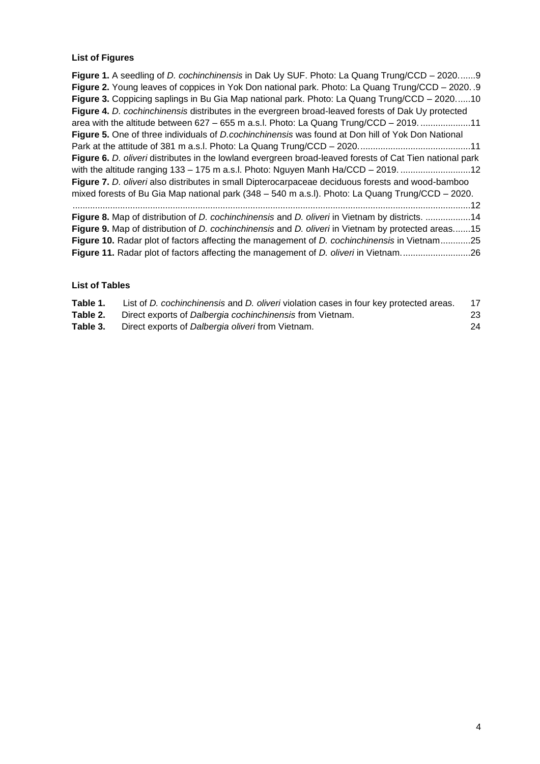## **List of Figures**

# **List of Tables**

| Table 1. | List of <i>D. cochinchinensis</i> and <i>D. oliveri</i> violation cases in four key protected areas. |    |
|----------|------------------------------------------------------------------------------------------------------|----|
| Table 2. | Direct exports of Dalbergia cochinchinensis from Vietnam.                                            | 23 |
| Table 3. | Direct exports of Dalbergia oliveri from Vietnam.                                                    | 24 |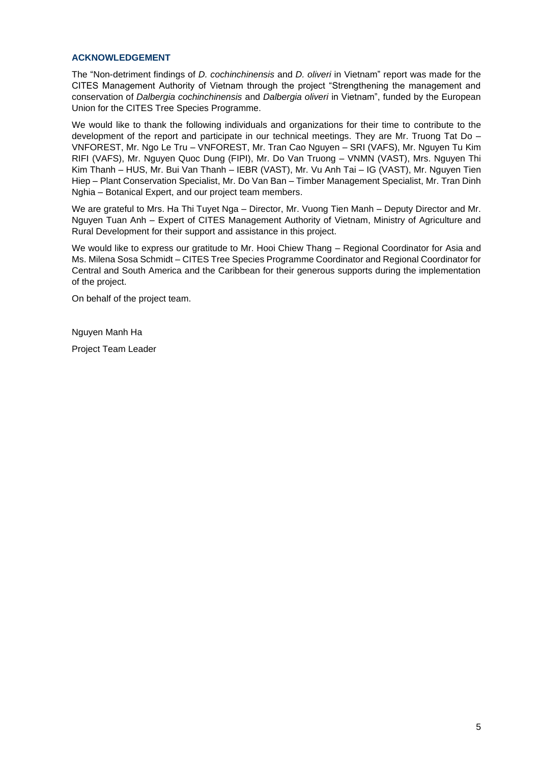#### <span id="page-4-0"></span>**ACKNOWLEDGEMENT**

The "Non-detriment findings of D. cochinchinensis and D. oliveri in Vietnam" report was made for the CITES Management Authority of Vietnam through the project "Strengthening the management and conservation of Dalbergia cochinchinensis and Dalbergia oliveri in Vietnam", funded by the European Union for the CITES Tree Species Programme.

We would like to thank the following individuals and organizations for their time to contribute to the development of the report and participate in our technical meetings. They are Mr. Truong Tat Do – VNFOREST, Mr. Ngo Le Tru – VNFOREST, Mr. Tran Cao Nguyen – SRI (VAFS), Mr. Nguyen Tu Kim RIFI (VAFS), Mr. Nguyen Quoc Dung (FIPI), Mr. Do Van Truong – VNMN (VAST), Mrs. Nguyen Thi Kim Thanh – HUS, Mr. Bui Van Thanh – IEBR (VAST), Mr. Vu Anh Tai – IG (VAST), Mr. Nguyen Tien Hiep – Plant Conservation Specialist, Mr. Do Van Ban – Timber Management Specialist, Mr. Tran Dinh Nghia – Botanical Expert, and our project team members.

We are grateful to Mrs. Ha Thi Tuyet Nga – Director, Mr. Vuong Tien Manh – Deputy Director and Mr. Nguyen Tuan Anh – Expert of CITES Management Authority of Vietnam, Ministry of Agriculture and Rural Development for their support and assistance in this project.

We would like to express our gratitude to Mr. Hooi Chiew Thang – Regional Coordinator for Asia and Ms. Milena Sosa Schmidt – CITES Tree Species Programme Coordinator and Regional Coordinator for Central and South America and the Caribbean for their generous supports during the implementation of the project.

On behalf of the project team.

Nguyen Manh Ha

Project Team Leader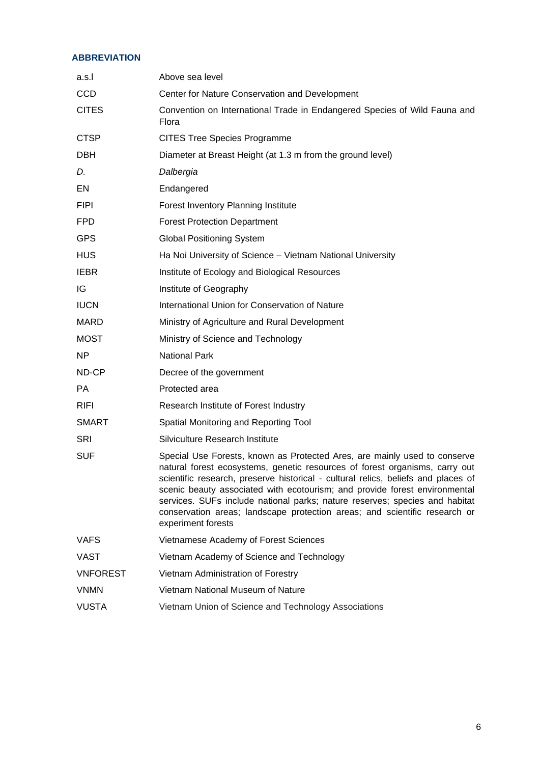## <span id="page-5-0"></span>**ABBREVIATION**

| a.s.l           | Above sea level                                                                                                                                                                                                                                                                                                                                                                                                                                                                                                |
|-----------------|----------------------------------------------------------------------------------------------------------------------------------------------------------------------------------------------------------------------------------------------------------------------------------------------------------------------------------------------------------------------------------------------------------------------------------------------------------------------------------------------------------------|
| <b>CCD</b>      | Center for Nature Conservation and Development                                                                                                                                                                                                                                                                                                                                                                                                                                                                 |
| <b>CITES</b>    | Convention on International Trade in Endangered Species of Wild Fauna and<br>Flora                                                                                                                                                                                                                                                                                                                                                                                                                             |
| <b>CTSP</b>     | <b>CITES Tree Species Programme</b>                                                                                                                                                                                                                                                                                                                                                                                                                                                                            |
| <b>DBH</b>      | Diameter at Breast Height (at 1.3 m from the ground level)                                                                                                                                                                                                                                                                                                                                                                                                                                                     |
| D.              | Dalbergia                                                                                                                                                                                                                                                                                                                                                                                                                                                                                                      |
| EN              | Endangered                                                                                                                                                                                                                                                                                                                                                                                                                                                                                                     |
| <b>FIPI</b>     | Forest Inventory Planning Institute                                                                                                                                                                                                                                                                                                                                                                                                                                                                            |
| <b>FPD</b>      | <b>Forest Protection Department</b>                                                                                                                                                                                                                                                                                                                                                                                                                                                                            |
| <b>GPS</b>      | <b>Global Positioning System</b>                                                                                                                                                                                                                                                                                                                                                                                                                                                                               |
| <b>HUS</b>      | Ha Noi University of Science - Vietnam National University                                                                                                                                                                                                                                                                                                                                                                                                                                                     |
| <b>IEBR</b>     | Institute of Ecology and Biological Resources                                                                                                                                                                                                                                                                                                                                                                                                                                                                  |
| IG              | Institute of Geography                                                                                                                                                                                                                                                                                                                                                                                                                                                                                         |
| <b>IUCN</b>     | International Union for Conservation of Nature                                                                                                                                                                                                                                                                                                                                                                                                                                                                 |
| <b>MARD</b>     | Ministry of Agriculture and Rural Development                                                                                                                                                                                                                                                                                                                                                                                                                                                                  |
| <b>MOST</b>     | Ministry of Science and Technology                                                                                                                                                                                                                                                                                                                                                                                                                                                                             |
| NP              | <b>National Park</b>                                                                                                                                                                                                                                                                                                                                                                                                                                                                                           |
| ND-CP           | Decree of the government                                                                                                                                                                                                                                                                                                                                                                                                                                                                                       |
| <b>PA</b>       | Protected area                                                                                                                                                                                                                                                                                                                                                                                                                                                                                                 |
| <b>RIFI</b>     | Research Institute of Forest Industry                                                                                                                                                                                                                                                                                                                                                                                                                                                                          |
| <b>SMART</b>    | Spatial Monitoring and Reporting Tool                                                                                                                                                                                                                                                                                                                                                                                                                                                                          |
| <b>SRI</b>      | Silviculture Research Institute                                                                                                                                                                                                                                                                                                                                                                                                                                                                                |
| <b>SUF</b>      | Special Use Forests, known as Protected Ares, are mainly used to conserve<br>natural forest ecosystems, genetic resources of forest organisms, carry out<br>scientific research, preserve historical - cultural relics, beliefs and places of<br>scenic beauty associated with ecotourism; and provide forest environmental<br>services. SUFs include national parks; nature reserves; species and habitat<br>conservation areas; landscape protection areas; and scientific research or<br>experiment forests |
| <b>VAFS</b>     | Vietnamese Academy of Forest Sciences                                                                                                                                                                                                                                                                                                                                                                                                                                                                          |
| VAST            | Vietnam Academy of Science and Technology                                                                                                                                                                                                                                                                                                                                                                                                                                                                      |
| <b>VNFOREST</b> | Vietnam Administration of Forestry                                                                                                                                                                                                                                                                                                                                                                                                                                                                             |
| <b>VNMN</b>     | Vietnam National Museum of Nature                                                                                                                                                                                                                                                                                                                                                                                                                                                                              |
| <b>VUSTA</b>    | Vietnam Union of Science and Technology Associations                                                                                                                                                                                                                                                                                                                                                                                                                                                           |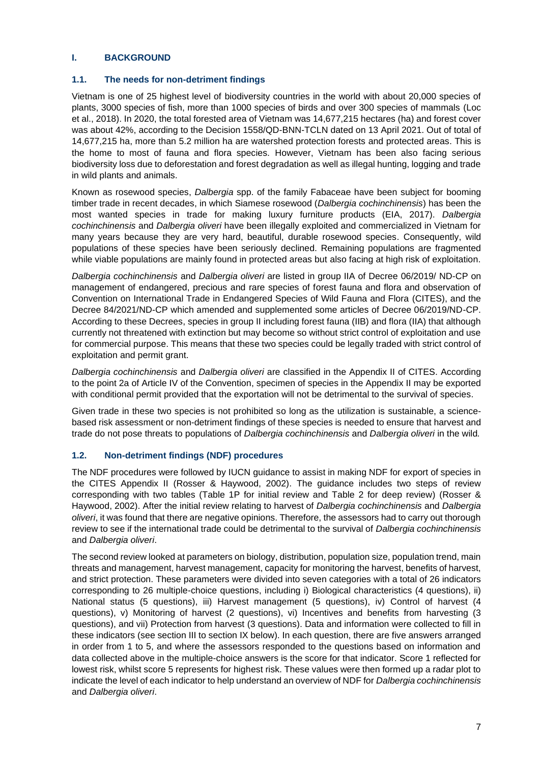## <span id="page-6-0"></span>**I. BACKGROUND**

## <span id="page-6-1"></span>**1.1. The needs for non-detriment findings**

Vietnam is one of 25 highest level of biodiversity countries in the world with about 20,000 species of plants, 3000 species of fish, more than 1000 species of birds and over 300 species of mammals (Loc et al., 2018). In 2020, the total forested area of Vietnam was 14,677,215 hectares (ha) and forest cover was about 42%, according to the Decision 1558/QD-BNN-TCLN dated on 13 April 2021. Out of total of 14,677,215 ha, more than 5.2 million ha are watershed protection forests and protected areas. This is the home to most of fauna and flora species. However, Vietnam has been also facing serious biodiversity loss due to deforestation and forest degradation as well as illegal hunting, logging and trade in wild plants and animals.

Known as rosewood species, Dalbergia spp. of the family Fabaceae have been subject for booming timber trade in recent decades, in which Siamese rosewood (Dalbergia cochinchinensis) has been the most wanted species in trade for making luxury furniture products (EIA, 2017). Dalbergia cochinchinensis and Dalbergia oliveri have been illegally exploited and commercialized in Vietnam for many years because they are very hard, beautiful, durable rosewood species. Consequently, wild populations of these species have been seriously declined. Remaining populations are fragmented while viable populations are mainly found in protected areas but also facing at high risk of exploitation.

Dalbergia cochinchinensis and Dalbergia oliveri are listed in group IIA of Decree 06/2019/ ND-CP on management of endangered, precious and rare species of forest fauna and flora and observation of Convention on International Trade in Endangered Species of Wild Fauna and Flora (CITES), and the Decree 84/2021/ND-CP which amended and supplemented some articles of Decree 06/2019/ND-CP. According to these Decrees, species in group II including forest fauna (IIB) and flora (IIA) that although currently not threatened with extinction but may become so without strict control of exploitation and use for commercial purpose. This means that these two species could be legally traded with strict control of exploitation and permit grant.

Dalbergia cochinchinensis and Dalbergia oliveri are classified in the Appendix II of CITES. According to the point 2a of Article IV of the Convention, specimen of species in the Appendix II may be exported with conditional permit provided that the exportation will not be detrimental to the survival of species.

Given trade in these two species is not prohibited so long as the utilization is sustainable, a sciencebased risk assessment or non-detriment findings of these species is needed to ensure that harvest and trade do not pose threats to populations of Dalbergia cochinchinensis and Dalbergia oliveri in the wild.

## <span id="page-6-2"></span>**1.2. Non-detriment findings (NDF) procedures**

The NDF procedures were followed by IUCN guidance to assist in making NDF for export of species in the CITES Appendix II (Rosser & Haywood, 2002). The guidance includes two steps of review corresponding with two tables (Table 1P for initial review and Table 2 for deep review) (Rosser & Haywood, 2002). After the initial review relating to harvest of Dalbergia cochinchinensis and Dalbergia oliveri, it was found that there are negative opinions. Therefore, the assessors had to carry out thorough review to see if the international trade could be detrimental to the survival of Dalbergia cochinchinensis and Dalbergia oliveri.

The second review looked at parameters on biology, distribution, population size, population trend, main threats and management, harvest management, capacity for monitoring the harvest, benefits of harvest, and strict protection. These parameters were divided into seven categories with a total of 26 indicators corresponding to 26 multiple-choice questions, including i) Biological characteristics (4 questions), ii) National status (5 questions), iii) Harvest management (5 questions), iv) Control of harvest (4 questions), v) Monitoring of harvest (2 questions), vi) Incentives and benefits from harvesting (3 questions), and vii) Protection from harvest (3 questions). Data and information were collected to fill in these indicators (see section [III](#page-7-4) to section [IX](#page-20-8) below). In each question, there are five answers arranged in order from 1 to 5, and where the assessors responded to the questions based on information and data collected above in the multiple-choice answers is the score for that indicator. Score 1 reflected for lowest risk, whilst score 5 represents for highest risk. These values were then formed up a radar plot to indicate the level of each indicator to help understand an overview of NDF for Dalbergia cochinchinensis and Dalbergia oliveri.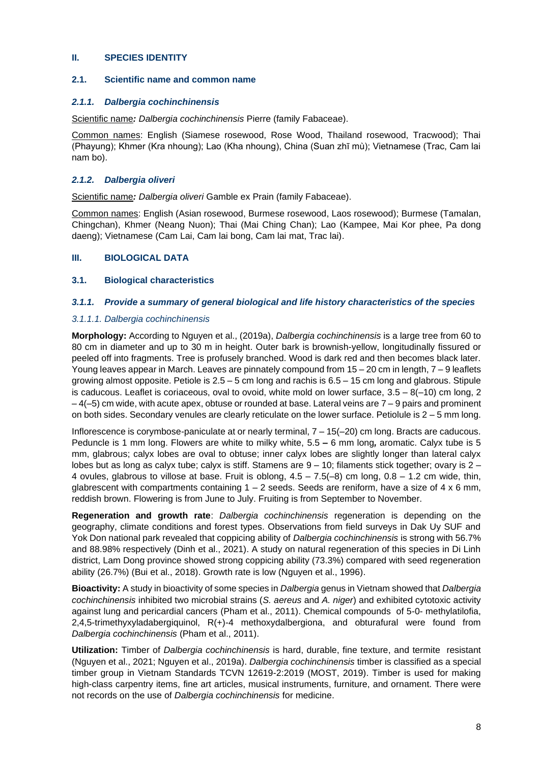#### <span id="page-7-0"></span>**II. SPECIES IDENTITY**

#### <span id="page-7-1"></span>**2.1. Scientific name and common name**

#### <span id="page-7-2"></span>**2.1.1. Dalbergia cochinchinensis**

Scientific name**:** Dalbergia cochinchinensis Pierre (family Fabaceae).

Common names: English (Siamese rosewood, Rose Wood, Thailand rosewood, Tracwood); Thai (Phayung); Khmer (Kra nhoung); Lao (Kha nhoung), China (Suan zhī mù); Vietnamese (Trac, Cam lai nam bo).

## <span id="page-7-3"></span>**2.1.2. Dalbergia oliveri**

Scientific name**:** Dalbergia oliveri Gamble ex Prain (family Fabaceae).

Common names: English (Asian rosewood, Burmese rosewood, Laos rosewood); Burmese (Tamalan, Chingchan), Khmer (Neang Nuon); Thai (Mai Ching Chan); Lao (Kampee, Mai Kor phee, Pa dong daeng); Vietnamese (Cam Lai, Cam lai bong, Cam lai mat, Trac lai).

## <span id="page-7-4"></span>**III. BIOLOGICAL DATA**

## <span id="page-7-5"></span>**3.1. Biological characteristics**

#### <span id="page-7-6"></span>**3.1.1. Provide a summary of general biological and life history characteristics of the species**

#### 3.1.1.1. Dalbergia cochinchinensis

**Morphology:** According to Nguyen et al., (2019a), Dalbergia cochinchinensis is a large tree from 60 to 80 cm in diameter and up to 30 m in height. Outer bark is brownish-yellow, longitudinally fissured or peeled off into fragments. Tree is profusely branched. Wood is dark red and then becomes black later. Young leaves appear in March. Leaves are pinnately compound from 15 – 20 cm in length, 7 – 9 leaflets growing almost opposite. Petiole is 2.5 – 5 cm long and rachis is 6.5 – 15 cm long and glabrous. Stipule is caducous. Leaflet is coriaceous, oval to ovoid, white mold on lower surface,  $3.5 - 8(-10)$  cm long, 2  $-4(-5)$  cm wide, with acute apex, obtuse or rounded at base. Lateral veins are  $7-9$  pairs and prominent on both sides. Secondary venules are clearly reticulate on the lower surface. Petiolule is  $2 - 5$  mm long.

Inflorescence is corymbose-paniculate at or nearly terminal, 7 – 15(–20) cm long. Bracts are caducous. Peduncle is 1 mm long. Flowers are white to milky white, 5.5 *–* 6 mm long**,** aromatic. Calyx tube is 5 mm, glabrous; calyx lobes are oval to obtuse; inner calyx lobes are slightly longer than lateral calyx lobes but as long as calyx tube; calyx is stiff. Stamens are 9 – 10; filaments stick together; ovary is 2 – 4 ovules, glabrous to villose at base. Fruit is oblong,  $4.5 - 7.5(-8)$  cm long,  $0.8 - 1.2$  cm wide, thin, glabrescent with compartments containing  $1 - 2$  seeds. Seeds are reniform, have a size of 4 x 6 mm, reddish brown. Flowering is from June to July. Fruiting is from September to November.

**Regeneration and growth rate**: Dalbergia cochinchinensis regeneration is depending on the geography, climate conditions and forest types. Observations from field surveys in Dak Uy SUF and Yok Don national park revealed that coppicing ability of Dalbergia cochinchinensis is strong with 56.7% and 88.98% respectively (Dinh et al., 2021). A study on natural regeneration of this species in Di Linh district, Lam Dong province showed strong coppicing ability (73.3%) compared with seed regeneration ability (26.7%) (Bui et al., 2018). Growth rate is low (Nguyen et al., 1996).

**Bioactivity:** A study in bioactivity of some species in Dalbergia genus in Vietnam showed that Dalbergia cochinchinensis inhibited two microbial strains (S. aereus and A. niger) and exhibited cytotoxic activity against lung and pericardial cancers (Pham et al., 2011). Chemical compounds of 5-0- methylatilofia, 2,4,5-trimethyxyladabergiquinol, R(+)-4 methoxydalbergiona, and obturafural were found from Dalbergia cochinchinensis (Pham et al., 2011).

**Utilization:** Timber of Dalbergia cochinchinensis is hard, durable, fine texture, and termite resistant (Nguyen et al., 2021; Nguyen et al., 2019a). Dalbergia cochinchinensis timber is classified as a special timber group in Vietnam Standards TCVN 12619-2:2019 (MOST, 2019). Timber is used for making high-class carpentry items, fine art articles, musical instruments, furniture, and ornament. There were not records on the use of Dalbergia cochinchinensis for medicine.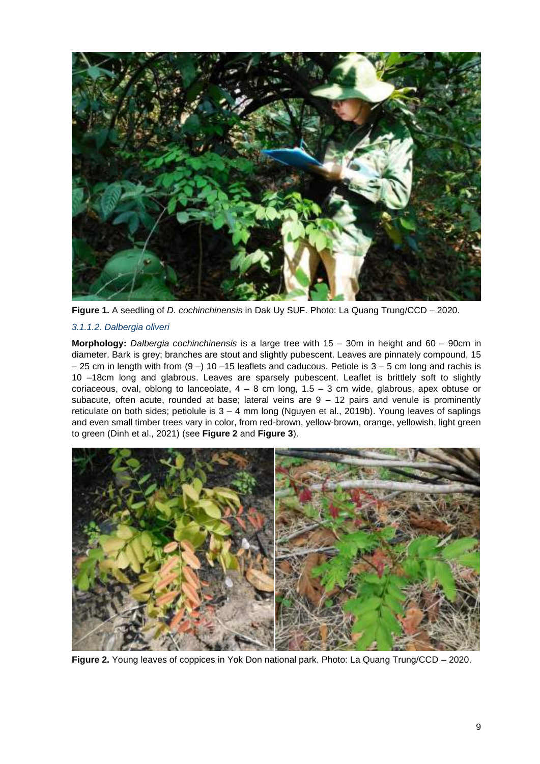

Figure 1. A seedling of *D. cochinchinensis* in Dak Uy SUF. Photo: La Quang Trung/CCD – 2020.

## <span id="page-8-0"></span>3.1.1.2. Dalbergia oliveri

**Morphology:** Dalbergia cochinchinensis is a large tree with 15 – 30m in height and 60 – 90cm in diameter. Bark is grey; branches are stout and slightly pubescent. Leaves are pinnately compound, 15 – 25 cm in length with from (9 –) 10 –15 leaflets and caducous. Petiole is 3 – 5 cm long and rachis is 10 –18cm long and glabrous. Leaves are sparsely pubescent. Leaflet is brittlely soft to slightly coriaceous, oval, oblong to lanceolate,  $4 - 8$  cm long,  $1.5 - 3$  cm wide, glabrous, apex obtuse or subacute, often acute, rounded at base; lateral veins are  $9 - 12$  pairs and venule is prominently reticulate on both sides; petiolule is 3 – 4 mm long (Nguyen et al., 2019b). Young leaves of saplings and even small timber trees vary in color, from red-brown, yellow-brown, orange, yellowish, light green to green (Dinh et al., 2021) (see **[Figure 2](#page-8-1)** and **[Figure 3](#page-9-0)**).

<span id="page-8-1"></span>

**Figure 2.** Young leaves of coppices in Yok Don national park. Photo: La Quang Trung/CCD – 2020.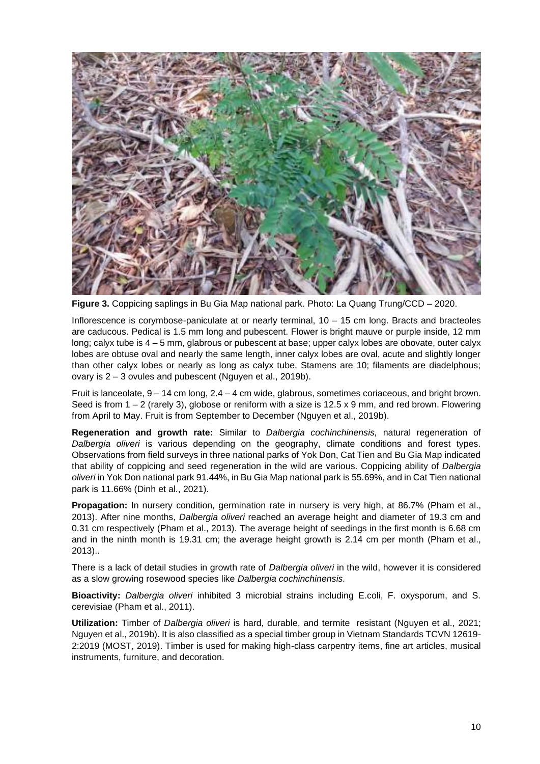

**Figure 3.** Coppicing saplings in Bu Gia Map national park. Photo: La Quang Trung/CCD – 2020.

<span id="page-9-0"></span>Inflorescence is corymbose-paniculate at or nearly terminal, 10 – 15 cm long. Bracts and bracteoles are caducous. Pedical is 1.5 mm long and pubescent. Flower is bright mauve or purple inside, 12 mm long; calyx tube is 4 – 5 mm, glabrous or pubescent at base; upper calyx lobes are obovate, outer calyx lobes are obtuse oval and nearly the same length, inner calyx lobes are oval, acute and slightly longer than other calyx lobes or nearly as long as calyx tube. Stamens are 10; filaments are diadelphous; ovary is 2 – 3 ovules and pubescent (Nguyen et al., 2019b).

Fruit is lanceolate, 9 – 14 cm long, 2.4 – 4 cm wide, glabrous, sometimes coriaceous, and bright brown. Seed is from  $1 - 2$  (rarely 3), globose or reniform with a size is  $12.5 \times 9$  mm, and red brown. Flowering from April to May. Fruit is from September to December (Nguyen et al., 2019b).

**Regeneration and growth rate:** Similar to Dalbergia cochinchinensis, natural regeneration of Dalbergia oliveri is various depending on the geography, climate conditions and forest types. Observations from field surveys in three national parks of Yok Don, Cat Tien and Bu Gia Map indicated that ability of coppicing and seed regeneration in the wild are various. Coppicing ability of Dalbergia oliveri in Yok Don national park 91.44%, in Bu Gia Map national park is 55.69%, and in Cat Tien national park is 11.66% (Dinh et al., 2021).

**Propagation:** In nursery condition, germination rate in nursery is very high, at 86.7% (Pham et al., 2013). After nine months, Dalbergia oliveri reached an average height and diameter of 19.3 cm and 0.31 cm respectively (Pham et al., 2013). The average height of seedings in the first month is 6.68 cm and in the ninth month is 19.31 cm; the average height growth is 2.14 cm per month (Pham et al., 2013)..

There is a lack of detail studies in growth rate of *Dalbergia oliveri* in the wild, however it is considered as a slow growing rosewood species like Dalbergia cochinchinensis.

**Bioactivity:** Dalbergia oliveri inhibited 3 microbial strains including E.coli, F. oxysporum, and S. cerevisiae (Pham et al., 2011).

**Utilization:** Timber of Dalbergia oliveri is hard, durable, and termite resistant (Nguyen et al., 2021; Nguyen et al., 2019b). It is also classified as a special timber group in Vietnam Standards TCVN 12619- 2:2019 (MOST, 2019). Timber is used for making high-class carpentry items, fine art articles, musical instruments, furniture, and decoration.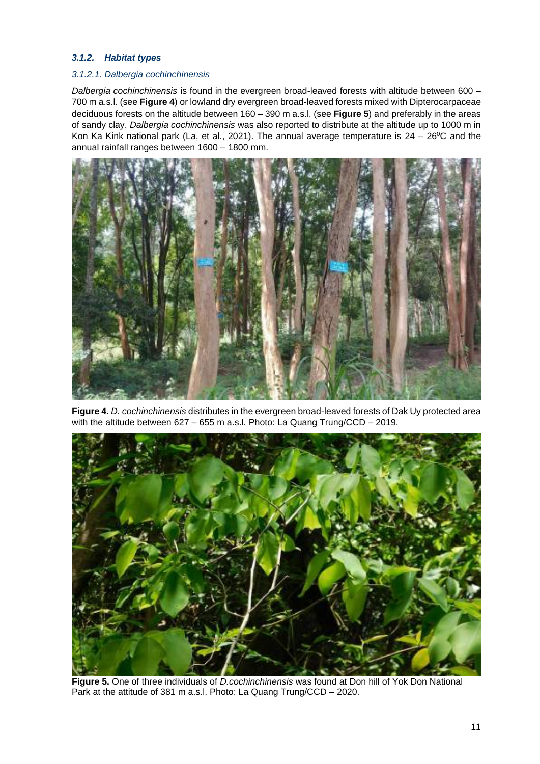## <span id="page-10-0"></span>**3.1.2. Habitat types**

## 3.1.2.1. Dalbergia cochinchinensis

Dalbergia cochinchinensis is found in the evergreen broad-leaved forests with altitude between 600 -700 m a.s.l. (see **[Figure 4](#page-10-1)**) or lowland dry evergreen broad-leaved forests mixed with Dipterocarpaceae deciduous forests on the altitude between 160 – 390 m a.s.l. (see **[Figure 5](#page-10-2)**) and preferably in the areas of sandy clay. Dalbergia cochinchinensis was also reported to distribute at the altitude up to 1000 m in Kon Ka Kink national park (La, et al., 2021). The annual average temperature is  $24 - 26^{\circ}$ C and the annual rainfall ranges between 1600 – 1800 mm.



**Figure 4.** D. cochinchinensis distributes in the evergreen broad-leaved forests of Dak Uy protected area with the altitude between 627 – 655 m a.s.l. Photo: La Quang Trung/CCD – 2019.

<span id="page-10-2"></span><span id="page-10-1"></span>

**Figure 5.** One of three individuals of D.cochinchinensis was found at Don hill of Yok Don National Park at the attitude of 381 m a.s.l. Photo: La Quang Trung/CCD – 2020.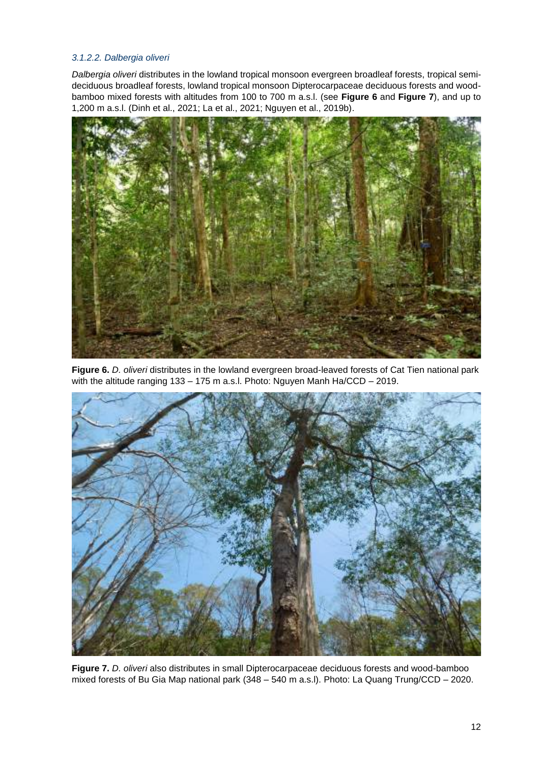## 3.1.2.2. Dalbergia oliveri

Dalbergia oliveri distributes in the lowland tropical monsoon evergreen broadleaf forests, tropical semideciduous broadleaf forests, lowland tropical monsoon Dipterocarpaceae deciduous forests and woodbamboo mixed forests with altitudes from 100 to 700 m a.s.l. (see **[Figure 6](#page-11-0)** and **[Figure 7](#page-11-1)**), and up to 1,200 m a.s.l. (Dinh et al., 2021; La et al., 2021; Nguyen et al., 2019b).



**Figure 6.** D. oliveri distributes in the lowland evergreen broad-leaved forests of Cat Tien national park with the altitude ranging 133 – 175 m a.s.l. Photo: Nguyen Manh Ha/CCD – 2019.

<span id="page-11-1"></span><span id="page-11-0"></span>

**Figure 7.** D. oliveri also distributes in small Dipterocarpaceae deciduous forests and wood-bamboo mixed forests of Bu Gia Map national park (348 – 540 m a.s.l). Photo: La Quang Trung/CCD – 2020.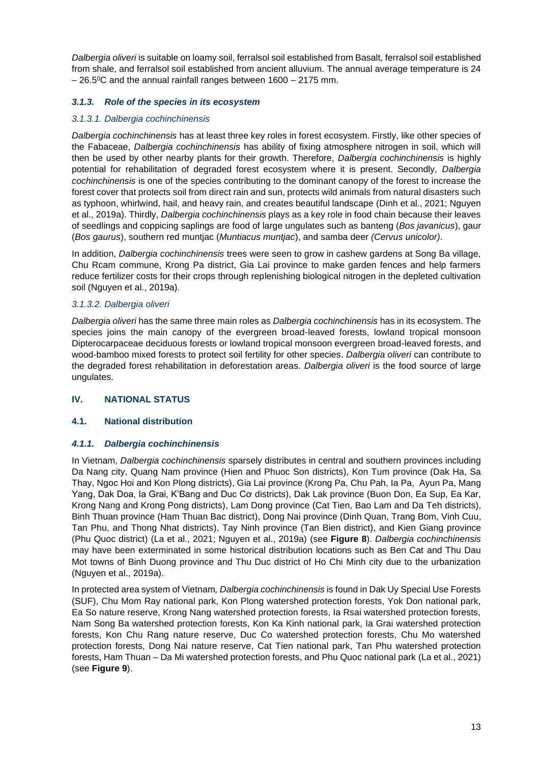Dalbergia oliveri is suitable on loamy soil, ferralsol soil established from Basalt, ferralsol soil established from shale, and ferralsol soil established from ancient alluvium. The annual average temperature is 24  $-26.5$ <sup>o</sup>C and the annual rainfall ranges between 1600 – 2175 mm.

## <span id="page-12-0"></span>**3.1.3. Role of the species in its ecosystem**

#### 3.1.3.1. Dalbergia cochinchinensis

Dalbergia cochinchinensis has at least three key roles in forest ecosystem. Firstly, like other species of the Fabaceae, Dalbergia cochinchinensis has ability of fixing atmosphere nitrogen in soil, which will then be used by other nearby plants for their growth. Therefore, Dalbergia cochinchinensis is highly potential for rehabilitation of degraded forest ecosystem where it is present. Secondly, Dalbergia cochinchinensis is one of the species contributing to the dominant canopy of the forest to increase the forest cover that protects soil from direct rain and sun, protects wild animals from natural disasters such as typhoon, whirlwind, hail, and heavy rain, and creates beautiful landscape (Dinh et al., 2021; Nguyen et al., 2019a). Thirdly, Dalbergia cochinchinensis plays as a key role in food chain because their leaves of seedlings and coppicing saplings are food of large ungulates such as banteng (Bos javanicus), gaur (Bos gaurus), southern red muntjac (Muntiacus muntjac), and samba deer (Cervus unicolor).

In addition, Dalbergia cochinchinensis trees were seen to grow in cashew gardens at Song Ba village, Chu Rcam commune, Krong Pa district, Gia Lai province to make garden fences and help farmers reduce fertilizer costs for their crops through replenishing biological nitrogen in the depleted cultivation soil (Nguyen et al., 2019a).

#### 3.1.3.2. Dalbergia oliveri

Dalbergia oliveri has the same three main roles as Dalbergia cochinchinensis has in its ecosystem. The species joins the main canopy of the evergreen broad-leaved forests, lowland tropical monsoon Dipterocarpaceae deciduous forests or lowland tropical monsoon evergreen broad-leaved forests, and wood-bamboo mixed forests to protect soil fertility for other species. Dalbergia oliveri can contribute to the degraded forest rehabilitation in deforestation areas. Dalbergia oliveri is the food source of large ungulates.

## <span id="page-12-1"></span>**IV. NATIONAL STATUS**

#### <span id="page-12-2"></span>**4.1. National distribution**

#### <span id="page-12-3"></span>**4.1.1. Dalbergia cochinchinensis**

In Vietnam, Dalbergia cochinchinensis sparsely distributes in central and southern provinces including Da Nang city, Quang Nam province (Hien and Phuoc Son districts), Kon Tum province (Dak Ha, Sa Thay, Ngoc Hoi and Kon Plong districts), Gia Lai province (Krong Pa, Chu Pah, Ia Pa, Ayun Pa, Mang Yang, Dak Doa, Ia Grai, K'Bang and Duc Cơ districts), Dak Lak province (Buon Don, Ea Sup, Ea Kar, Krong Nang and Krong Pong districts), Lam Dong province (Cat Tien, Bao Lam and Da Teh districts), Binh Thuan province (Ham Thuan Bac district), Dong Nai province (Dinh Quan, Trang Bom, Vinh Cuu, Tan Phu, and Thong Nhat districts), Tay Ninh province (Tan Bien district), and Kien Giang province (Phu Quoc district) (La et al., 2021; Nguyen et al., 2019a) (see **[Figure 8](#page-13-1)**). Dalbergia cochinchinensis may have been exterminated in some historical distribution locations such as Ben Cat and Thu Dau Mot towns of Binh Duong province and Thu Duc district of Ho Chi Minh city due to the urbanization (Nguyen et al., 2019a).

In protected area system of Vietnam, Dalbergia cochinchinensis is found in Dak Uy Special Use Forests (SUF), Chu Mom Ray national park, Kon Plong watershed protection forests, Yok Don national park, Ea So nature reserve, Krong Nang watershed protection forests, Ia Rsai watershed protection forests, Nam Song Ba watershed protection forests, Kon Ka Kinh national park, Ia Grai watershed protection forests, Kon Chu Rang nature reserve, Duc Co watershed protection forests, Chu Mo watershed protection forests, Dong Nai nature reserve, Cat Tien national park, Tan Phu watershed protection forests, Ham Thuan – Da Mi watershed protection forests, and Phu Quoc national park (La et al., 2021) (see **[Figure 9](#page-14-0)**).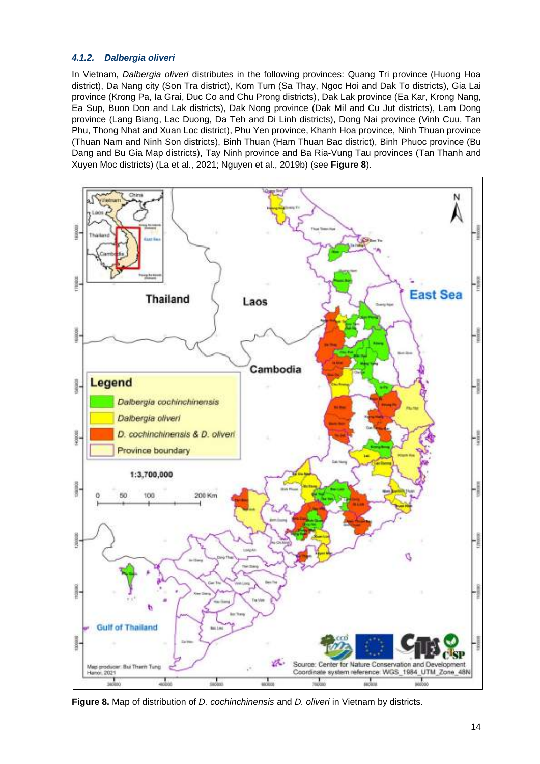## <span id="page-13-0"></span>**4.1.2. Dalbergia oliveri**

In Vietnam, Dalbergia oliveri distributes in the following provinces: Quang Tri province (Huong Hoa district), Da Nang city (Son Tra district), Kom Tum (Sa Thay, Ngoc Hoi and Dak To districts), Gia Lai province (Krong Pa, Ia Grai, Duc Co and Chu Prong districts), Dak Lak province (Ea Kar, Krong Nang, Ea Sup, Buon Don and Lak districts), Dak Nong province (Dak Mil and Cu Jut districts), Lam Dong province (Lang Biang, Lac Duong, Da Teh and Di Linh districts), Dong Nai province (Vinh Cuu, Tan Phu, Thong Nhat and Xuan Loc district), Phu Yen province, Khanh Hoa province, Ninh Thuan province (Thuan Nam and Ninh Son districts), Binh Thuan (Ham Thuan Bac district), Binh Phuoc province (Bu Dang and Bu Gia Map districts), Tay Ninh province and Ba Ria-Vung Tau provinces (Tan Thanh and Xuyen Moc districts) (La et al., 2021; Nguyen et al., 2019b) (see **[Figure 8](#page-13-1)**).



<span id="page-13-1"></span>Figure 8. Map of distribution of *D. cochinchinensis* and *D. oliveri* in Vietnam by districts.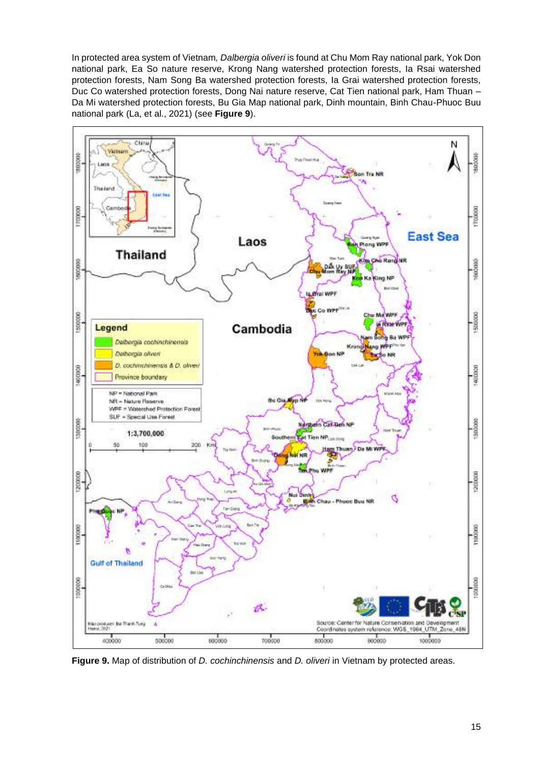In protected area system of Vietnam, Dalbergia oliveri is found at Chu Mom Ray national park, Yok Don national park, Ea So nature reserve, Krong Nang watershed protection forests, Ia Rsai watershed protection forests, Nam Song Ba watershed protection forests, Ia Grai watershed protection forests, Duc Co watershed protection forests, Dong Nai nature reserve, Cat Tien national park, Ham Thuan – Da Mi watershed protection forests, Bu Gia Map national park, Dinh mountain, Binh Chau-Phuoc Buu national park (La, et al., 2021) (see **[Figure 9](#page-14-0)**).



<span id="page-14-0"></span>Figure 9. Map of distribution of *D. cochinchinensis* and *D. oliveri* in Vietnam by protected areas.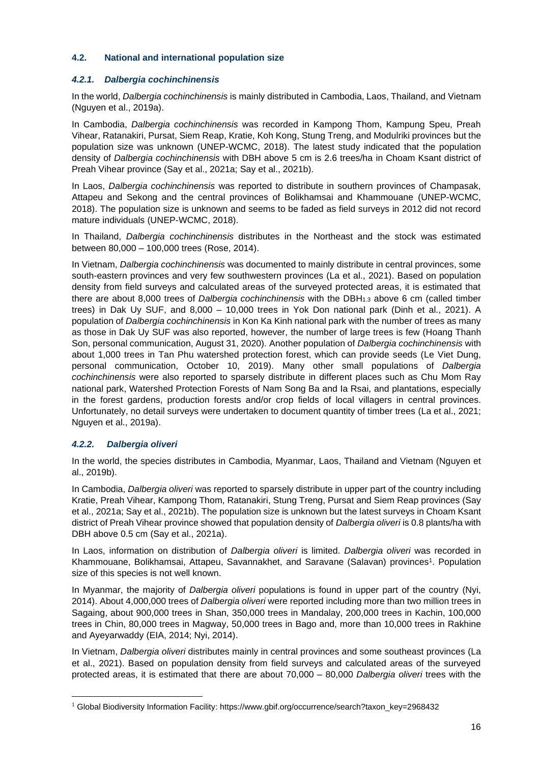## <span id="page-15-0"></span>**4.2. National and international population size**

## <span id="page-15-1"></span>**4.2.1. Dalbergia cochinchinensis**

In the world, Dalbergia cochinchinensis is mainly distributed in Cambodia, Laos, Thailand, and Vietnam (Nguyen et al., 2019a).

In Cambodia, Dalbergia cochinchinensis was recorded in Kampong Thom, Kampung Speu, Preah Vihear, Ratanakiri, Pursat, Siem Reap, Kratie, Koh Kong, Stung Treng, and Modulriki provinces but the population size was unknown (UNEP-WCMC, 2018). The latest study indicated that the population density of Dalbergia cochinchinensis with DBH above 5 cm is 2.6 trees/ha in Choam Ksant district of Preah Vihear province (Say et al., 2021a; Say et al., 2021b).

In Laos, Dalbergia cochinchinensis was reported to distribute in southern provinces of Champasak, Attapeu and Sekong and the central provinces of Bolikhamsai and Khammouane (UNEP-WCMC, 2018). The population size is unknown and seems to be faded as field surveys in 2012 did not record mature individuals (UNEP-WCMC, 2018).

In Thailand, *Dalbergia cochinchinensis* distributes in the Northeast and the stock was estimated between 80,000 – 100,000 trees (Rose, 2014).

In Vietnam, Dalbergia cochinchinensis was documented to mainly distribute in central provinces, some south-eastern provinces and very few southwestern provinces (La et al., 2021). Based on population density from field surveys and calculated areas of the surveyed protected areas, it is estimated that there are about 8,000 trees of *Dalbergia cochinchinensis* with the DBH<sub>1.3</sub> above 6 cm (called timber trees) in Dak Uy SUF, and 8,000 – 10,000 trees in Yok Don national park (Dinh et al., 2021). A population of Dalbergia cochinchinensis in Kon Ka Kinh national park with the number of trees as many as those in Dak Uy SUF was also reported, however, the number of large trees is few (Hoang Thanh Son, personal communication, August 31, 2020). Another population of Dalbergia cochinchinensis with about 1,000 trees in Tan Phu watershed protection forest, which can provide seeds (Le Viet Dung, personal communication, October 10, 2019). Many other small populations of Dalbergia cochinchinensis were also reported to sparsely distribute in different places such as Chu Mom Ray national park, Watershed Protection Forests of Nam Song Ba and Ia Rsai, and plantations, especially in the forest gardens, production forests and/or crop fields of local villagers in central provinces. Unfortunately, no detail surveys were undertaken to document quantity of timber trees (La et al., 2021; Nguyen et al., 2019a).

## <span id="page-15-2"></span>**4.2.2. Dalbergia oliveri**

In the world, the species distributes in Cambodia, Myanmar, Laos, Thailand and Vietnam (Nguyen et al., 2019b).

In Cambodia, Dalbergia oliveri was reported to sparsely distribute in upper part of the country including Kratie, Preah Vihear, Kampong Thom, Ratanakiri, Stung Treng, Pursat and Siem Reap provinces (Say et al., 2021a; Say et al., 2021b). The population size is unknown but the latest surveys in Choam Ksant district of Preah Vihear province showed that population density of Dalbergia oliveri is 0.8 plants/ha with DBH above 0.5 cm (Say et al., 2021a).

In Laos, information on distribution of Dalbergia oliveri is limited. Dalbergia oliveri was recorded in Khammouane, Bolikhamsai, Attapeu, Savannakhet, and Saravane (Salavan) provinces 1 . Population size of this species is not well known.

In Myanmar, the majority of Dalbergia oliveri populations is found in upper part of the country (Nyi, 2014). About 4,000,000 trees of Dalbergia oliveri were reported including more than two million trees in Sagaing, about 900,000 trees in Shan, 350,000 trees in Mandalay, 200,000 trees in Kachin, 100,000 trees in Chin, 80,000 trees in Magway, 50,000 trees in Bago and, more than 10,000 trees in Rakhine and Ayeyarwaddy (EIA, 2014; Nyi, 2014).

In Vietnam, Dalbergia oliveri distributes mainly in central provinces and some southeast provinces (La et al., 2021). Based on population density from field surveys and calculated areas of the surveyed protected areas, it is estimated that there are about 70,000 – 80,000 Dalbergia oliveri trees with the

<sup>1</sup> Global Biodiversity Information Facility: https://www.gbif.org/occurrence/search?taxon\_key=2968432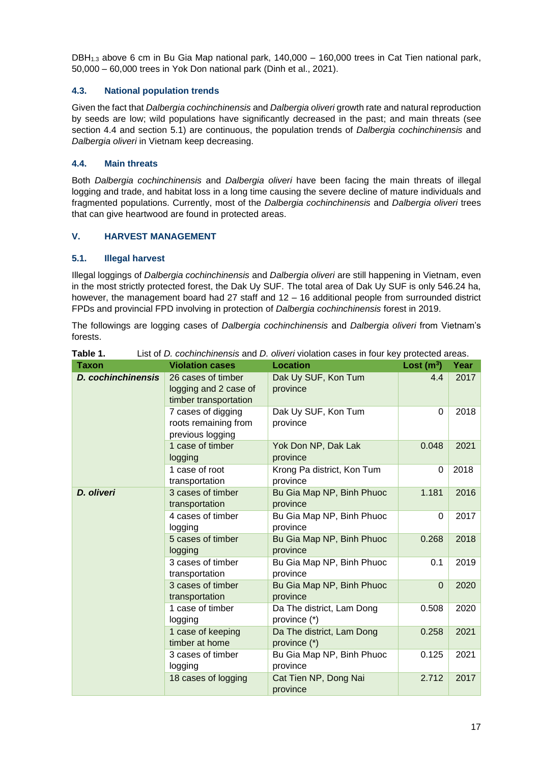DBH1.3 above 6 cm in Bu Gia Map national park, 140,000 – 160,000 trees in Cat Tien national park, 50,000 – 60,000 trees in Yok Don national park (Dinh et al., 2021).

## <span id="page-16-0"></span>**4.3. National population trends**

Given the fact that Dalbergia cochinchinensis and Dalbergia oliveri growth rate and natural reproduction by seeds are low; wild populations have significantly decreased in the past; and main threats (see section [4.4](#page-16-1) and section [5.1\)](#page-16-3) are continuous, the population trends of *Dalbergia cochinchinensis* and Dalbergia oliveri in Vietnam keep decreasing.

## <span id="page-16-1"></span>**4.4. Main threats**

Both Dalbergia cochinchinensis and Dalbergia oliveri have been facing the main threats of illegal logging and trade, and habitat loss in a long time causing the severe decline of mature individuals and fragmented populations. Currently, most of the Dalbergia cochinchinensis and Dalbergia oliveri trees that can give heartwood are found in protected areas.

## <span id="page-16-2"></span>**V. HARVEST MANAGEMENT**

## <span id="page-16-3"></span>**5.1. Illegal harvest**

Illegal loggings of Dalbergia cochinchinensis and Dalbergia oliveri are still happening in Vietnam, even in the most strictly protected forest, the Dak Uy SUF. The total area of Dak Uy SUF is only 546.24 ha, however, the management board had 27 staff and 12 – 16 additional people from surrounded district FPDs and provincial FPD involving in protection of Dalbergia cochinchinensis forest in 2019.

The followings are logging cases of Dalbergia cochinchinensis and Dalbergia oliveri from Vietnam's forests.

| <b>Taxon</b>              | <b>Violation cases</b>                                               | <b>Location</b>                           | Lost $(m^3)$ | Year |
|---------------------------|----------------------------------------------------------------------|-------------------------------------------|--------------|------|
| <b>D.</b> cochinchinensis | 26 cases of timber<br>logging and 2 case of<br>timber transportation | Dak Uy SUF, Kon Tum<br>province           | 4.4          | 2017 |
|                           | 7 cases of digging<br>roots remaining from<br>previous logging       | Dak Uy SUF, Kon Tum<br>province           | $\Omega$     | 2018 |
|                           | 1 case of timber<br>logging                                          | Yok Don NP, Dak Lak<br>province           | 0.048        | 2021 |
|                           | 1 case of root<br>transportation                                     | Krong Pa district, Kon Tum<br>province    | $\Omega$     | 2018 |
| D. oliveri                | 3 cases of timber<br>transportation                                  | Bu Gia Map NP, Binh Phuoc<br>province     | 1.181        | 2016 |
|                           | 4 cases of timber<br>logging                                         | Bu Gia Map NP, Binh Phuoc<br>province     | $\Omega$     | 2017 |
|                           | 5 cases of timber<br>logging                                         | Bu Gia Map NP, Binh Phuoc<br>province     | 0.268        | 2018 |
|                           | 3 cases of timber<br>transportation                                  | Bu Gia Map NP, Binh Phuoc<br>province     | 0.1          | 2019 |
|                           | 3 cases of timber<br>transportation                                  | Bu Gia Map NP, Binh Phuoc<br>province     | $\Omega$     | 2020 |
|                           | 1 case of timber<br>logging                                          | Da The district, Lam Dong<br>province (*) | 0.508        | 2020 |
|                           | 1 case of keeping<br>timber at home                                  | Da The district, Lam Dong<br>province (*) | 0.258        | 2021 |
|                           | 3 cases of timber<br>logging                                         | Bu Gia Map NP, Binh Phuoc<br>province     | 0.125        | 2021 |
|                           | 18 cases of logging                                                  | Cat Tien NP, Dong Nai<br>province         | 2.712        | 2017 |

<span id="page-16-4"></span>Table 1. List of *D. cochinchinensis* and *D. oliveri* violation cases in four key protected areas.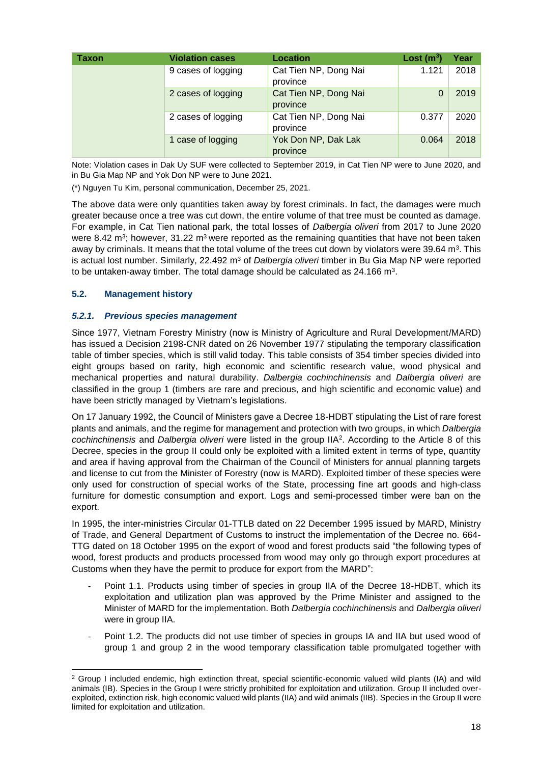| Taxon | <b>Violation cases</b> | Location                          |       |      |  |
|-------|------------------------|-----------------------------------|-------|------|--|
|       | 9 cases of logging     | Cat Tien NP, Dong Nai<br>province | 1.121 | 2018 |  |
|       | 2 cases of logging     | Cat Tien NP, Dong Nai<br>province |       | 2019 |  |
|       | 2 cases of logging     | Cat Tien NP, Dong Nai<br>province | 0.377 | 2020 |  |
|       | 1 case of logging      | Yok Don NP, Dak Lak<br>province   | 0.064 | 2018 |  |

Note: Violation cases in Dak Uy SUF were collected to September 2019, in Cat Tien NP were to June 2020, and in Bu Gia Map NP and Yok Don NP were to June 2021.

(\*) Nguyen Tu Kim, personal communication, December 25, 2021.

The above data were only quantities taken away by forest criminals. In fact, the damages were much greater because once a tree was cut down, the entire volume of that tree must be counted as damage. For example, in Cat Tien national park, the total losses of Dalbergia oliveri from 2017 to June 2020 were 8.42 m<sup>3</sup>; however, 31.22 m<sup>3</sup> were reported as the remaining quantities that have not been taken away by criminals. It means that the total volume of the trees cut down by violators were 39.64  $\textsf{m}^{3}$ . This is actual lost number. Similarly, 22.492  $m<sup>3</sup>$  of *Dalbergia oliveri* timber in Bu Gia Map NP were reported to be untaken-away timber. The total damage should be calculated as 24.166 m<sup>3</sup>.

## <span id="page-17-0"></span>**5.2. Management history**

## <span id="page-17-1"></span>**5.2.1. Previous species management**

Since 1977, Vietnam Forestry Ministry (now is Ministry of Agriculture and Rural Development/MARD) has issued a Decision 2198-CNR dated on 26 November 1977 stipulating the temporary classification table of timber species, which is still valid today. This table consists of 354 timber species divided into eight groups based on rarity, high economic and scientific research value, wood physical and mechanical properties and natural durability. Dalbergia cochinchinensis and Dalbergia oliveri are classified in the group 1 (timbers are rare and precious, and high scientific and economic value) and have been strictly managed by Vietnam's legislations.

On 17 January 1992, the Council of Ministers gave a Decree 18-HDBT stipulating the List of rare forest plants and animals, and the regime for management and protection with two groups, in which Dalbergia cochinchinensis and Dalbergia oliveri were listed in the group IIA<sup>2</sup>. According to the Article 8 of this Decree, species in the group II could only be exploited with a limited extent in terms of type, quantity and area if having approval from the Chairman of the Council of Ministers for annual planning targets and license to cut from the Minister of Forestry (now is MARD). Exploited timber of these species were only used for construction of special works of the State, processing fine art goods and high-class furniture for domestic consumption and export. Logs and semi-processed timber were ban on the export.

In 1995, the inter-ministries Circular 01-TTLB dated on 22 December 1995 issued by MARD, Ministry of Trade, and General Department of Customs to instruct the implementation of the Decree no. 664- TTG dated on 18 October 1995 on the export of wood and forest products said "the following types of wood, forest products and products processed from wood may only go through export procedures at Customs when they have the permit to produce for export from the MARD":

- Point 1.1. Products using timber of species in group IIA of the Decree 18-HDBT, which its exploitation and utilization plan was approved by the Prime Minister and assigned to the Minister of MARD for the implementation. Both Dalbergia cochinchinensis and Dalbergia oliveri were in group IIA.
- Point 1.2. The products did not use timber of species in groups IA and IIA but used wood of group 1 and group 2 in the wood temporary classification table promulgated together with

<sup>&</sup>lt;sup>2</sup> Group I included endemic, high extinction threat, special scientific-economic valued wild plants (IA) and wild animals (IB). Species in the Group I were strictly prohibited for exploitation and utilization. Group II included overexploited, extinction risk, high economic valued wild plants (IIA) and wild animals (IIB). Species in the Group II were limited for exploitation and utilization.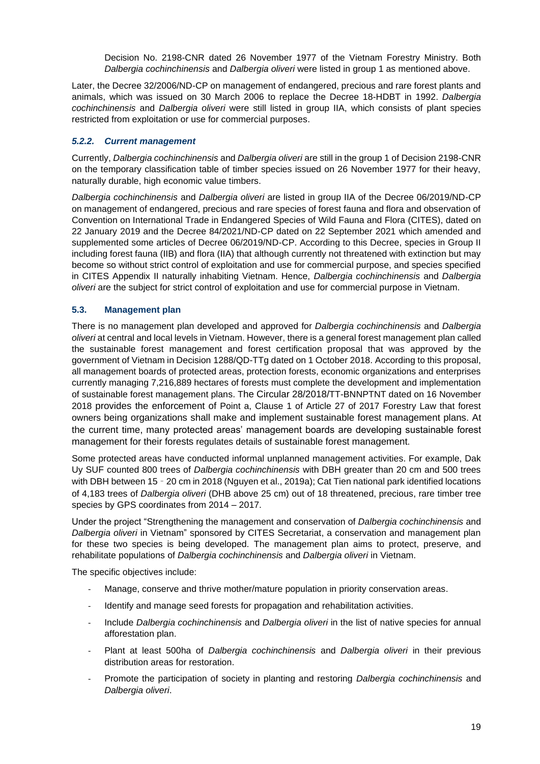Decision No. 2198-CNR dated 26 November 1977 of the Vietnam Forestry Ministry. Both Dalbergia cochinchinensis and Dalbergia oliveri were listed in group 1 as mentioned above.

Later, the Decree 32/2006/ND-CP on management of endangered, precious and rare forest plants and animals, which was issued on 30 March 2006 to replace the Decree 18-HDBT in 1992. Dalbergia cochinchinensis and Dalbergia oliveri were still listed in group IIA, which consists of plant species restricted from exploitation or use for commercial purposes.

## <span id="page-18-0"></span>**5.2.2. Current management**

Currently, Dalbergia cochinchinensis and Dalbergia oliveri are still in the group 1 of Decision 2198-CNR on the temporary classification table of timber species issued on 26 November 1977 for their heavy, naturally durable, high economic value timbers.

Dalbergia cochinchinensis and Dalbergia oliveri are listed in group IIA of the Decree 06/2019/ND-CP on management of endangered, precious and rare species of forest fauna and flora and observation of Convention on International Trade in Endangered Species of Wild Fauna and Flora (CITES), dated on 22 January 2019 and the Decree 84/2021/ND-CP dated on 22 September 2021 which amended and supplemented some articles of Decree 06/2019/ND-CP. According to this Decree, species in Group II including forest fauna (IIB) and flora (IIA) that although currently not threatened with extinction but may become so without strict control of exploitation and use for commercial purpose, and species specified in CITES Appendix II naturally inhabiting Vietnam. Hence, Dalbergia cochinchinensis and Dalbergia oliveri are the subject for strict control of exploitation and use for commercial purpose in Vietnam.

## <span id="page-18-1"></span>**5.3. Management plan**

There is no management plan developed and approved for Dalbergia cochinchinensis and Dalbergia oliveri at central and local levels in Vietnam. However, there is a general forest management plan called the sustainable forest management and forest certification proposal that was approved by the government of Vietnam in Decision 1288/QD-TTg dated on 1 October 2018. According to this proposal, all management boards of protected areas, protection forests, economic organizations and enterprises currently managing 7,216,889 hectares of forests must complete the development and implementation of sustainable forest management plans. The Circular 28/2018/TT-BNNPTNT dated on 16 November 2018 provides the enforcement of Point a, Clause 1 of Article 27 of 2017 Forestry Law that forest owners being organizations shall make and implement sustainable forest management plans. At the current time, many protected areas' management boards are developing sustainable forest management for their forests regulates details of sustainable forest management.

Some protected areas have conducted informal unplanned management activities. For example, Dak Uy SUF counted 800 trees of Dalbergia cochinchinensis with DBH greater than 20 cm and 500 trees with DBH between 15 – 20 cm in 2018 (Nguyen et al., 2019a); Cat Tien national park identified locations of 4,183 trees of Dalbergia oliveri (DHB above 25 cm) out of 18 threatened, precious, rare timber tree species by GPS coordinates from 2014 – 2017.

Under the project "Strengthening the management and conservation of Dalbergia cochinchinensis and Dalbergia oliveri in Vietnam" sponsored by CITES Secretariat, a conservation and management plan for these two species is being developed. The management plan aims to protect, preserve, and rehabilitate populations of Dalbergia cochinchinensis and Dalbergia oliveri in Vietnam.

The specific objectives include:

- Manage, conserve and thrive mother/mature population in priority conservation areas.
- Identify and manage seed forests for propagation and rehabilitation activities.
- Include Dalbergia cochinchinensis and Dalbergia oliveri in the list of native species for annual afforestation plan.
- Plant at least 500ha of Dalbergia cochinchinensis and Dalbergia oliveri in their previous distribution areas for restoration.
- Promote the participation of society in planting and restoring Dalbergia cochinchinensis and Dalbergia oliveri.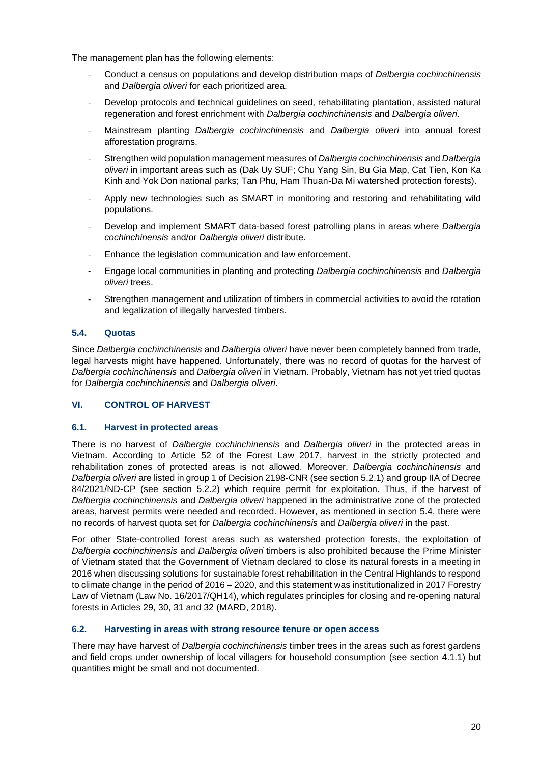The management plan has the following elements:

- Conduct a census on populations and develop distribution maps of Dalbergia cochinchinensis and Dalbergia oliveri for each prioritized area.
- Develop protocols and technical guidelines on seed, rehabilitating plantation, assisted natural regeneration and forest enrichment with Dalbergia cochinchinensis and Dalbergia oliveri.
- Mainstream planting Dalbergia cochinchinensis and Dalbergia oliveri into annual forest afforestation programs.
- Strengthen wild population management measures of Dalbergia cochinchinensis and Dalbergia oliveri in important areas such as (Dak Uy SUF; Chu Yang Sin, Bu Gia Map, Cat Tien, Kon Ka Kinh and Yok Don national parks; Tan Phu, Ham Thuan-Da Mi watershed protection forests).
- Apply new technologies such as SMART in monitoring and restoring and rehabilitating wild populations.
- Develop and implement SMART data-based forest patrolling plans in areas where Dalbergia cochinchinensis and/or Dalbergia oliveri distribute.
- Enhance the legislation communication and law enforcement.
- Engage local communities in planting and protecting Dalbergia cochinchinensis and Dalbergia oliveri trees.
- Strengthen management and utilization of timbers in commercial activities to avoid the rotation and legalization of illegally harvested timbers.

## <span id="page-19-0"></span>**5.4. Quotas**

Since Dalbergia cochinchinensis and Dalbergia oliveri have never been completely banned from trade, legal harvests might have happened. Unfortunately, there was no record of quotas for the harvest of Dalbergia cochinchinensis and Dalbergia oliveri in Vietnam. Probably, Vietnam has not yet tried quotas for Dalbergia cochinchinensis and Dalbergia oliveri.

## <span id="page-19-1"></span>**VI. CONTROL OF HARVEST**

#### <span id="page-19-2"></span>**6.1. Harvest in protected areas**

There is no harvest of Dalbergia cochinchinensis and Dalbergia oliveri in the protected areas in Vietnam. According to Article 52 of the Forest Law 2017, harvest in the strictly protected and rehabilitation zones of protected areas is not allowed. Moreover, Dalbergia cochinchinensis and Dalbergia oliveri are listed in group 1 of Decision 2198-CNR (see section [5.2.1\)](#page-17-1) and group IIA of Decree 84/2021/ND-CP (see section [5.2.2\)](#page-18-0) which require permit for exploitation. Thus, if the harvest of Dalbergia cochinchinensis and Dalbergia oliveri happened in the administrative zone of the protected areas, harvest permits were needed and recorded. However, as mentioned in section [5.4,](#page-19-0) there were no records of harvest quota set for Dalbergia cochinchinensis and Dalbergia oliveri in the past.

For other State-controlled forest areas such as watershed protection forests, the exploitation of Dalbergia cochinchinensis and Dalbergia oliveri timbers is also prohibited because the Prime Minister of Vietnam stated that the Government of Vietnam declared to close its natural forests in a meeting in 2016 when discussing solutions for sustainable forest rehabilitation in the Central Highlands to respond to climate change in the period of 2016 – 2020, and this statement was institutionalized in 2017 Forestry Law of Vietnam (Law No. 16/2017/QH14), which regulates principles for closing and re-opening natural forests in Articles 29, 30, 31 and 32 (MARD, 2018).

## <span id="page-19-3"></span>**6.2. Harvesting in areas with strong resource tenure or open access**

There may have harvest of *Dalbergia cochinchinensis* timber trees in the areas such as forest gardens and field crops under ownership of local villagers for household consumption (see section [4.1.1\)](#page-12-3) but quantities might be small and not documented.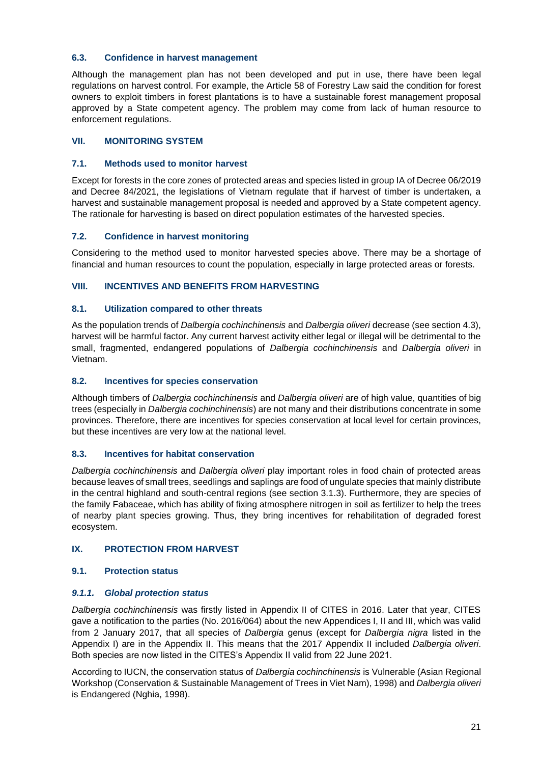## <span id="page-20-0"></span>**6.3. Confidence in harvest management**

Although the management plan has not been developed and put in use, there have been legal regulations on harvest control. For example, the Article 58 of Forestry Law said the condition for forest owners to exploit timbers in forest plantations is to have a sustainable forest management proposal approved by a State competent agency. The problem may come from lack of human resource to enforcement regulations.

## <span id="page-20-1"></span>**VII. MONITORING SYSTEM**

## <span id="page-20-2"></span>**7.1. Methods used to monitor harvest**

Except for forests in the core zones of protected areas and species listed in group IA of Decree 06/2019 and Decree 84/2021, the legislations of Vietnam regulate that if harvest of timber is undertaken, a harvest and sustainable management proposal is needed and approved by a State competent agency. The rationale for harvesting is based on direct population estimates of the harvested species.

## <span id="page-20-3"></span>**7.2. Confidence in harvest monitoring**

Considering to the method used to monitor harvested species above. There may be a shortage of financial and human resources to count the population, especially in large protected areas or forests.

## <span id="page-20-4"></span>**VIII. INCENTIVES AND BENEFITS FROM HARVESTING**

## <span id="page-20-5"></span>**8.1. Utilization compared to other threats**

As the population trends of Dalbergia cochinchinensis and Dalbergia oliveri decrease (see sectio[n 4.3\)](#page-16-0), harvest will be harmful factor. Any current harvest activity either legal or illegal will be detrimental to the small, fragmented, endangered populations of Dalbergia cochinchinensis and Dalbergia oliveri in Vietnam.

## <span id="page-20-6"></span>**8.2. Incentives for species conservation**

Although timbers of Dalbergia cochinchinensis and Dalbergia oliveri are of high value, quantities of big trees (especially in Dalbergia cochinchinensis) are not many and their distributions concentrate in some provinces. Therefore, there are incentives for species conservation at local level for certain provinces, but these incentives are very low at the national level.

## <span id="page-20-7"></span>**8.3. Incentives for habitat conservation**

Dalbergia cochinchinensis and Dalbergia oliveri play important roles in food chain of protected areas because leaves of small trees, seedlings and saplings are food of ungulate species that mainly distribute in the central highland and south-central regions (see section [3.1.3\)](#page-12-0). Furthermore, they are species of the family Fabaceae, which has ability of fixing atmosphere nitrogen in soil as fertilizer to help the trees of nearby plant species growing. Thus, they bring incentives for rehabilitation of degraded forest ecosystem.

## <span id="page-20-8"></span>**IX. PROTECTION FROM HARVEST**

## <span id="page-20-9"></span>**9.1. Protection status**

## <span id="page-20-10"></span>**9.1.1. Global protection status**

Dalbergia cochinchinensis was firstly listed in Appendix II of CITES in 2016. Later that year, CITES gave a notification to the parties (No. 2016/064) about the new Appendices I, II and III, which was valid from 2 January 2017, that all species of Dalbergia genus (except for Dalbergia nigra listed in the Appendix I) are in the Appendix II. This means that the 2017 Appendix II included Dalbergia oliveri. Both species are now listed in the CITES's Appendix II valid from 22 June 2021.

According to IUCN, the conservation status of Dalbergia cochinchinensis is Vulnerable (Asian Regional Workshop (Conservation & Sustainable Management of Trees in Viet Nam), 1998) and Dalbergia oliveri is Endangered (Nghia, 1998).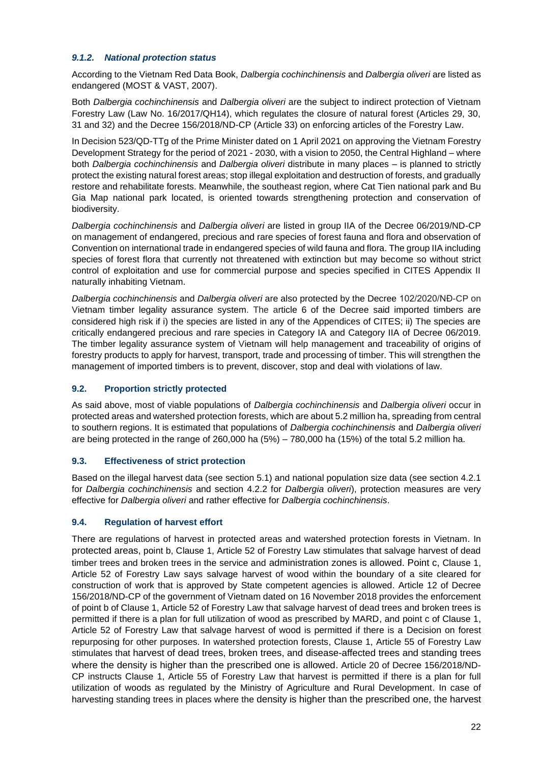## <span id="page-21-0"></span>**9.1.2. National protection status**

According to the Vietnam Red Data Book, Dalbergia cochinchinensis and Dalbergia oliveri are listed as endangered (MOST & VAST, 2007).

Both Dalbergia cochinchinensis and Dalbergia oliveri are the subject to indirect protection of Vietnam Forestry Law (Law No. 16/2017/QH14), which regulates the closure of natural forest (Articles 29, 30, 31 and 32) and the Decree 156/2018/ND-CP (Article 33) on enforcing articles of the Forestry Law.

In Decision 523/QD-TTg of the Prime Minister dated on 1 April 2021 on approving the Vietnam Forestry Development Strategy for the period of 2021 - 2030, with a vision to 2050, the Central Highland – where both Dalbergia cochinchinensis and Dalbergia oliveri distribute in many places – is planned to strictly protect the existing natural forest areas; stop illegal exploitation and destruction of forests, and gradually restore and rehabilitate forests. Meanwhile, the southeast region, where Cat Tien national park and Bu Gia Map national park located, is oriented towards strengthening protection and conservation of biodiversity.

Dalbergia cochinchinensis and Dalbergia oliveri are listed in group IIA of the Decree 06/2019/ND-CP on management of endangered, precious and rare species of forest fauna and flora and observation of Convention on international trade in endangered species of wild fauna and flora. The group IIA including species of forest flora that currently not threatened with extinction but may become so without strict control of exploitation and use for commercial purpose and species specified in CITES Appendix II naturally inhabiting Vietnam.

Dalbergia cochinchinensis and Dalbergia oliveri are also protected by the Decree 102/2020/NĐ-CP on Vietnam timber legality assurance system. The article 6 of the Decree said imported timbers are considered high risk if i) the species are listed in any of the Appendices of CITES; ii) The species are critically endangered precious and rare species in Category IA and Category IIA of Decree 06/2019. The timber legality assurance system of Vietnam will help management and traceability of origins of forestry products to apply for harvest, transport, trade and processing of timber. This will strengthen the management of imported timbers is to prevent, discover, stop and deal with violations of law.

## <span id="page-21-1"></span>**9.2. Proportion strictly protected**

As said above, most of viable populations of Dalbergia cochinchinensis and Dalbergia oliveri occur in protected areas and watershed protection forests, which are about 5.2 million ha, spreading from central to southern regions. It is estimated that populations of Dalbergia cochinchinensis and Dalbergia oliveri are being protected in the range of 260,000 ha (5%) – 780,000 ha (15%) of the total 5.2 million ha.

## <span id="page-21-2"></span>**9.3. Effectiveness of strict protection**

Based on the illegal harvest data (see section [5.1\)](#page-16-3) and national population size data (see section [4.2.1](#page-15-1) for Dalbergia cochinchinensis and section [4.2.2](#page-15-2) for Dalbergia oliveri), protection measures are very effective for Dalbergia oliveri and rather effective for Dalbergia cochinchinensis.

## <span id="page-21-3"></span>**9.4. Regulation of harvest effort**

There are regulations of harvest in protected areas and watershed protection forests in Vietnam. In protected areas, point b, Clause 1, Article 52 of Forestry Law stimulates that salvage harvest of dead timber trees and broken trees in the service and administration zones is allowed. Point c, Clause 1, Article 52 of Forestry Law says salvage harvest of wood within the boundary of a site cleared for construction of work that is approved by State competent agencies is allowed. Article 12 of Decree 156/2018/ND-CP of the government of Vietnam dated on 16 November 2018 provides the enforcement of point b of Clause 1, Article 52 of Forestry Law that salvage harvest of dead trees and broken trees is permitted if there is a plan for full utilization of wood as prescribed by MARD, and point c of Clause 1, Article 52 of Forestry Law that salvage harvest of wood is permitted if there is a Decision on forest repurposing for other purposes. In watershed protection forests, Clause 1, Article 55 of Forestry Law stimulates that harvest of dead trees, broken trees, and disease-affected trees and standing trees where the density is higher than the prescribed one is allowed. Article 20 of Decree 156/2018/ND-CP instructs Clause 1, Article 55 of Forestry Law that harvest is permitted if there is a plan for full utilization of woods as regulated by the Ministry of Agriculture and Rural Development. In case of harvesting standing trees in places where the density is higher than the prescribed one, the harvest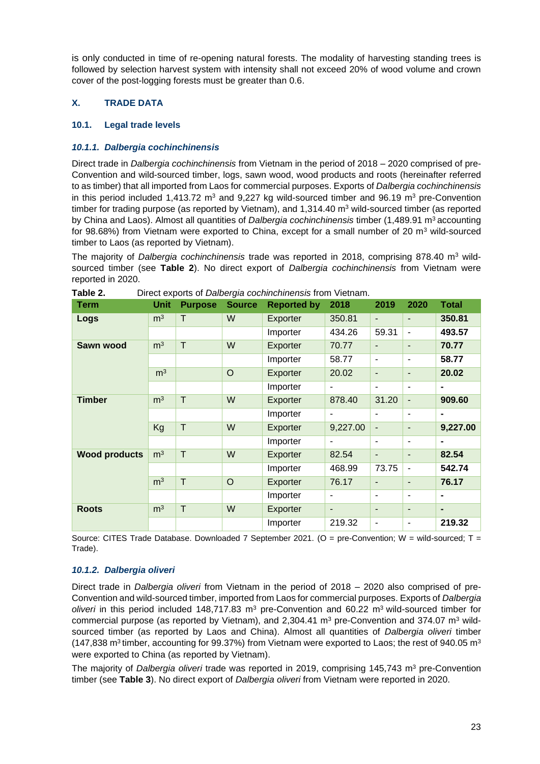is only conducted in time of re-opening natural forests. The modality of harvesting standing trees is followed by selection harvest system with intensity shall not exceed 20% of wood volume and crown cover of the post-logging forests must be greater than 0.6.

## <span id="page-22-0"></span>**X. TRADE DATA**

## <span id="page-22-1"></span>**10.1. Legal trade levels**

## <span id="page-22-2"></span>**10.1.1. Dalbergia cochinchinensis**

Direct trade in Dalbergia cochinchinensis from Vietnam in the period of 2018 – 2020 comprised of pre-Convention and wild-sourced timber, logs, sawn wood, wood products and roots (hereinafter referred to as timber) that all imported from Laos for commercial purposes. Exports of Dalbergia cochinchinensis in this period included 1,413.72  $m<sup>3</sup>$  and 9,227 kg wild-sourced timber and 96.19  $m<sup>3</sup>$  pre-Convention timber for trading purpose (as reported by Vietnam), and  $1,314.40$  m<sup>3</sup> wild-sourced timber (as reported by China and Laos). Almost all quantities of Dalbergia cochinchinensis timber (1,489.91 m<sup>3</sup> accounting for 98.68%) from Vietnam were exported to China, except for a small number of 20  $\text{m}^3$  wild-sourced timber to Laos (as reported by Vietnam).

The majority of *Dalbergia cochinchinensis* trade was reported in 2018, comprising 878.40 m<sup>3</sup> wildsourced timber (see **[Table 2](#page-22-4)**). No direct export of Dalbergia cochinchinensis from Vietnam were reported in 2020.

| Term                 | Unit           | <b>Purpose</b> | <b>Source</b> | <b>Reported by</b> | 2018                     | 2019                         | 2020                     | Total          |
|----------------------|----------------|----------------|---------------|--------------------|--------------------------|------------------------------|--------------------------|----------------|
| Logs                 | m <sup>3</sup> | T              | W             | Exporter           | 350.81                   | $\overline{\phantom{a}}$     | $\overline{\phantom{a}}$ | 350.81         |
|                      |                |                |               | Importer           | 434.26                   | 59.31                        | $\blacksquare$           | 493.57         |
| Sawn wood            | m <sup>3</sup> | T              | W             | Exporter           | 70.77                    | $\overline{\phantom{a}}$     | $\overline{\phantom{a}}$ | 70.77          |
|                      |                |                |               | Importer           | 58.77                    | $\blacksquare$               | $\blacksquare$           | 58.77          |
|                      | m <sup>3</sup> |                | $\circ$       | Exporter           | 20.02                    | $\overline{\phantom{a}}$     | $\overline{\phantom{a}}$ | 20.02          |
|                      |                |                |               | Importer           | -                        | $\blacksquare$               | $\blacksquare$           | $\blacksquare$ |
| <b>Timber</b>        | m <sup>3</sup> | T              | W             | Exporter           | 878.40                   | 31.20                        | $\blacksquare$           | 909.60         |
|                      |                |                |               | Importer           | $\blacksquare$           |                              | -                        | $\blacksquare$ |
|                      | Kg             | $\mathsf T$    | W             | Exporter           | 9,227.00                 | $\overline{\phantom{a}}$     | $\blacksquare$           | 9,227.00       |
|                      |                |                |               | Importer           | $\overline{\phantom{m}}$ | -                            | $\overline{\phantom{a}}$ | $\blacksquare$ |
| <b>Wood products</b> | m <sup>3</sup> | T              | W             | Exporter           | 82.54                    | $\overline{\phantom{a}}$     | $\blacksquare$           | 82.54          |
|                      |                |                |               | Importer           | 468.99                   | 73.75                        | $\overline{\phantom{a}}$ | 542.74         |
|                      | m <sup>3</sup> | T              | $\circ$       | Exporter           | 76.17                    | ٠                            | $\blacksquare$           | 76.17          |
|                      |                |                |               | Importer           | ٠                        | $\blacksquare$               | $\blacksquare$           | $\blacksquare$ |
| <b>Roots</b>         | m <sup>3</sup> | T              | W             | Exporter           | ٠                        | $\qquad \qquad \blacksquare$ | $\overline{\phantom{a}}$ | $\blacksquare$ |
|                      |                |                |               | Importer           | 219.32                   | -                            | $\overline{\phantom{a}}$ | 219.32         |

<span id="page-22-4"></span>**Table 2.** Direct exports of Dalbergia cochinchinensis from Vietnam.

Source: CITES Trade Database. Downloaded 7 September 2021. (O = pre-Convention; W = wild-sourced; T = Trade).

## <span id="page-22-3"></span>**10.1.2. Dalbergia oliveri**

Direct trade in Dalbergia oliveri from Vietnam in the period of 2018 – 2020 also comprised of pre-Convention and wild-sourced timber, imported from Laos for commercial purposes. Exports of Dalbergia oliveri in this period included 148,717.83  $m<sup>3</sup>$  pre-Convention and 60.22  $m<sup>3</sup>$  wild-sourced timber for commercial purpose (as reported by Vietnam), and  $2,304.41$  m<sup>3</sup> pre-Convention and 374.07 m<sup>3</sup> wildsourced timber (as reported by Laos and China). Almost all quantities of *Dalbergia oliveri* timber (147,838 m<sup>3</sup> timber, accounting for 99.37%) from Vietnam were exported to Laos; the rest of 940.05 m<sup>3</sup> were exported to China (as reported by Vietnam).

The majority of Dalbergia oliveri trade was reported in 2019, comprising 145,743 m<sup>3</sup> pre-Convention timber (see **[Table 3](#page-23-5)**). No direct export of Dalbergia oliveri from Vietnam were reported in 2020.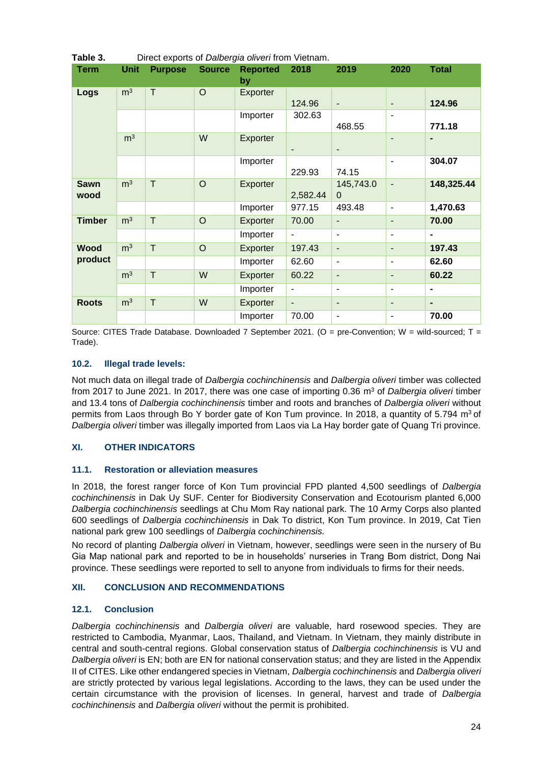| i abie o.           | Direct exports of <i>Daibergia oliveri</i> from vietnam. |                |               |                       |                          |                          |                          |                |
|---------------------|----------------------------------------------------------|----------------|---------------|-----------------------|--------------------------|--------------------------|--------------------------|----------------|
| <b>Term</b>         | <b>Unit</b>                                              | <b>Purpose</b> | <b>Source</b> | <b>Reported</b><br>by | 2018                     | 2019                     | 2020                     | <b>Total</b>   |
| Logs                | m <sup>3</sup>                                           | T              | $\circ$       | Exporter              | 124.96                   | $\overline{\phantom{a}}$ | $\overline{\phantom{a}}$ | 124.96         |
|                     |                                                          |                |               | Importer              | 302.63                   | 468.55                   | $\overline{\phantom{a}}$ | 771.18         |
|                     | m <sup>3</sup>                                           |                | W             | Exporter              | ٠                        | $\overline{\phantom{a}}$ | $\overline{\phantom{a}}$ |                |
|                     |                                                          |                |               | Importer              | 229.93                   | 74.15                    | $\overline{a}$           | 304.07         |
| <b>Sawn</b><br>wood | m <sup>3</sup>                                           | T              | $\circ$       | Exporter              | 2,582.44                 | 145,743.0<br>$\Omega$    | $\overline{a}$           | 148,325.44     |
|                     |                                                          |                |               | Importer              | 977.15                   | 493.48                   | $\blacksquare$           | 1,470.63       |
| <b>Timber</b>       | m <sup>3</sup>                                           | T              | $\circ$       | Exporter              | 70.00                    | $\overline{\phantom{a}}$ | $\overline{\phantom{a}}$ | 70.00          |
|                     |                                                          |                |               | Importer              | $\overline{\phantom{a}}$ | $\blacksquare$           | $\overline{\phantom{a}}$ |                |
| <b>Wood</b>         | m <sup>3</sup>                                           | T              | $\circ$       | Exporter              | 197.43                   | $\blacksquare$           | $\overline{\phantom{a}}$ | 197.43         |
| product             |                                                          |                |               | Importer              | 62.60                    | $\overline{\phantom{a}}$ | $\overline{\phantom{a}}$ | 62.60          |
|                     | m <sup>3</sup>                                           | T              | W             | Exporter              | 60.22                    | $\overline{\phantom{a}}$ | $\overline{\phantom{a}}$ | 60.22          |
|                     |                                                          |                |               | Importer              | $\blacksquare$           | $\blacksquare$           | $\overline{\phantom{a}}$ |                |
| <b>Roots</b>        | m <sup>3</sup>                                           | T              | W             | Exporter              | ٠                        | $\blacksquare$           | $\overline{\phantom{0}}$ | $\blacksquare$ |
|                     |                                                          |                |               | Importer              | 70.00                    | $\blacksquare$           | $\overline{a}$           | 70.00          |

<span id="page-23-5"></span>**Table 3.** Direct exports of Dalbergia oliveri from Vietnam.

Source: CITES Trade Database. Downloaded 7 September 2021. (O = pre-Convention; W = wild-sourced; T = Trade).

## <span id="page-23-0"></span>**10.2. Illegal trade levels:**

Not much data on illegal trade of Dalbergia cochinchinensis and Dalbergia oliveri timber was collected from 2017 to June 2021. In 2017, there was one case of importing 0.36  $m<sup>3</sup>$  of Dalbergia oliveri timber and 13.4 tons of Dalbergia cochinchinensis timber and roots and branches of Dalbergia oliveri without permits from Laos through Bo Y border gate of Kon Tum province. In 2018, a quantity of 5.794 m<sup>3</sup> of Dalbergia oliveri timber was illegally imported from Laos via La Hay border gate of Quang Tri province.

## <span id="page-23-1"></span>**XI. OTHER INDICATORS**

## <span id="page-23-2"></span>**11.1. Restoration or alleviation measures**

In 2018, the forest ranger force of Kon Tum provincial FPD planted 4,500 seedlings of Dalbergia cochinchinensis in Dak Uy SUF. Center for Biodiversity Conservation and Ecotourism planted 6,000 Dalbergia cochinchinensis seedlings at Chu Mom Ray national park. The 10 Army Corps also planted 600 seedlings of Dalbergia cochinchinensis in Dak To district, Kon Tum province. In 2019, Cat Tien national park grew 100 seedlings of Dalbergia cochinchinensis.

No record of planting Dalbergia oliveri in Vietnam, however, seedlings were seen in the nursery of Bu Gia Map national park and reported to be in households' nurseries in Trang Bom district, Dong Nai province. These seedlings were reported to sell to anyone from individuals to firms for their needs.

## <span id="page-23-3"></span>**XII. CONCLUSION AND RECOMMENDATIONS**

## <span id="page-23-4"></span>**12.1. Conclusion**

Dalbergia cochinchinensis and Dalbergia oliveri are valuable, hard rosewood species. They are restricted to Cambodia, Myanmar, Laos, Thailand, and Vietnam. In Vietnam, they mainly distribute in central and south-central regions. Global conservation status of Dalbergia cochinchinensis is VU and Dalbergia oliveri is EN; both are EN for national conservation status; and they are listed in the Appendix II of CITES. Like other endangered species in Vietnam, Dalbergia cochinchinensis and Dalbergia oliveri are strictly protected by various legal legislations. According to the laws, they can be used under the certain circumstance with the provision of licenses. In general, harvest and trade of Dalbergia cochinchinensis and Dalbergia oliveri without the permit is prohibited.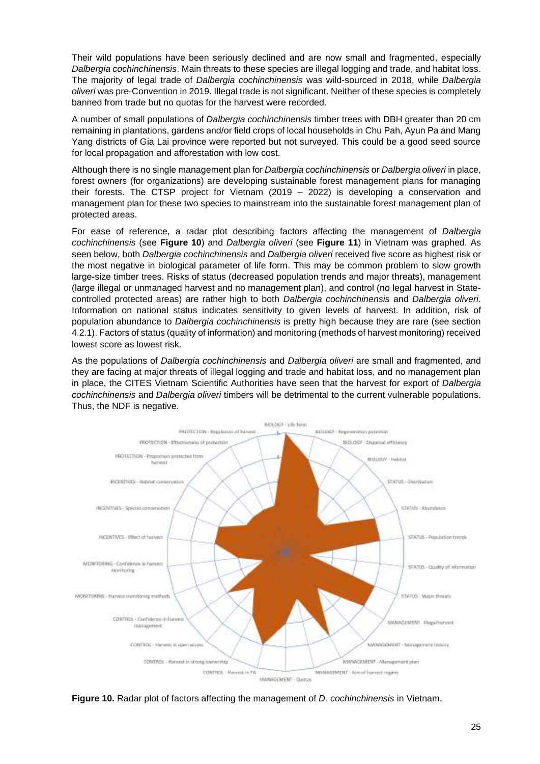Their wild populations have been seriously declined and are now small and fragmented, especially Dalbergia cochinchinensis. Main threats to these species are illegal logging and trade, and habitat loss. The majority of legal trade of Dalbergia cochinchinensis was wild-sourced in 2018, while Dalbergia oliveri was pre-Convention in 2019. Illegal trade is not significant. Neither of these species is completely banned from trade but no quotas for the harvest were recorded.

A number of small populations of Dalbergia cochinchinensis timber trees with DBH greater than 20 cm remaining in plantations, gardens and/or field crops of local households in Chu Pah, Ayun Pa and Mang Yang districts of Gia Lai province were reported but not surveyed. This could be a good seed source for local propagation and afforestation with low cost.

Although there is no single management plan for Dalbergia cochinchinensis or Dalbergia oliveri in place, forest owners (for organizations) are developing sustainable forest management plans for managing their forests. The CTSP project for Vietnam (2019 – 2022) is developing a conservation and management plan for these two species to mainstream into the sustainable forest management plan of protected areas.

For ease of reference, a radar plot describing factors affecting the management of Dalbergia cochinchinensis (see **[Figure 10](#page-24-0)**) and Dalbergia oliveri (see **[Figure 11](#page-25-1)**) in Vietnam was graphed. As seen below, both Dalbergia cochinchinensis and Dalbergia oliveri received five score as highest risk or the most negative in biological parameter of life form. This may be common problem to slow growth large-size timber trees. Risks of status (decreased population trends and major threats), management (large illegal or unmanaged harvest and no management plan), and control (no legal harvest in Statecontrolled protected areas) are rather high to both Dalbergia cochinchinensis and Dalbergia oliveri. Information on national status indicates sensitivity to given levels of harvest. In addition, risk of population abundance to Dalbergia cochinchinensis is pretty high because they are rare (see section [4.2.1\)](#page-15-1). Factors of status (quality of information) and monitoring (methods of harvest monitoring) received lowest score as lowest risk.

As the populations of Dalbergia cochinchinensis and Dalbergia oliveri are small and fragmented, and they are facing at major threats of illegal logging and trade and habitat loss, and no management plan in place, the CITES Vietnam Scientific Authorities have seen that the harvest for export of Dalbergia cochinchinensis and Dalbergia oliveri timbers will be detrimental to the current vulnerable populations. Thus, the NDF is negative.



<span id="page-24-0"></span>**Figure 10.** Radar plot of factors affecting the management of D. cochinchinensis in Vietnam.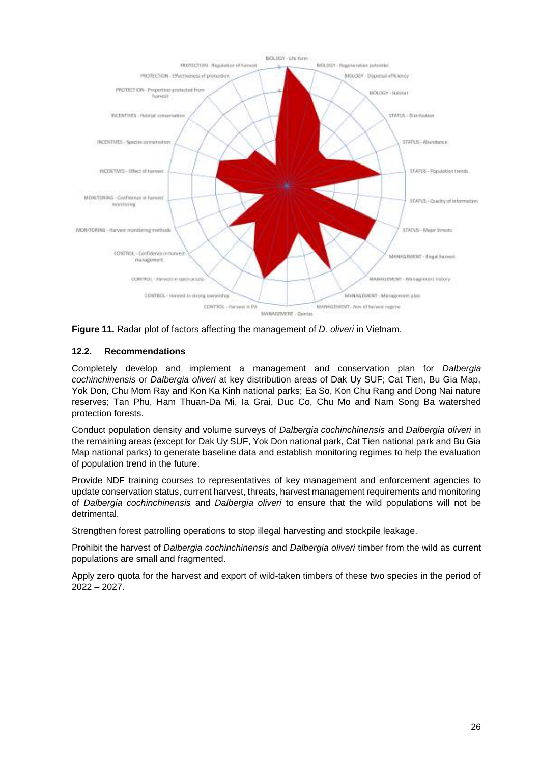

<span id="page-25-1"></span>

## <span id="page-25-0"></span>**12.2. Recommendations**

Completely develop and implement a management and conservation plan for Dalbergia cochinchinensis or Dalbergia oliveri at key distribution areas of Dak Uy SUF; Cat Tien, Bu Gia Map, Yok Don, Chu Mom Ray and Kon Ka Kinh national parks; Ea So, Kon Chu Rang and Dong Nai nature reserves; Tan Phu, Ham Thuan-Da Mi, Ia Grai, Duc Co, Chu Mo and Nam Song Ba watershed protection forests.

Conduct population density and volume surveys of Dalbergia cochinchinensis and Dalbergia oliveri in the remaining areas (except for Dak Uy SUF, Yok Don national park, Cat Tien national park and Bu Gia Map national parks) to generate baseline data and establish monitoring regimes to help the evaluation of population trend in the future.

Provide NDF training courses to representatives of key management and enforcement agencies to update conservation status, current harvest, threats, harvest management requirements and monitoring of Dalbergia cochinchinensis and Dalbergia oliveri to ensure that the wild populations will not be detrimental.

Strengthen forest patrolling operations to stop illegal harvesting and stockpile leakage.

Prohibit the harvest of Dalbergia cochinchinensis and Dalbergia oliveri timber from the wild as current populations are small and fragmented.

Apply zero quota for the harvest and export of wild-taken timbers of these two species in the period of 2022 – 2027.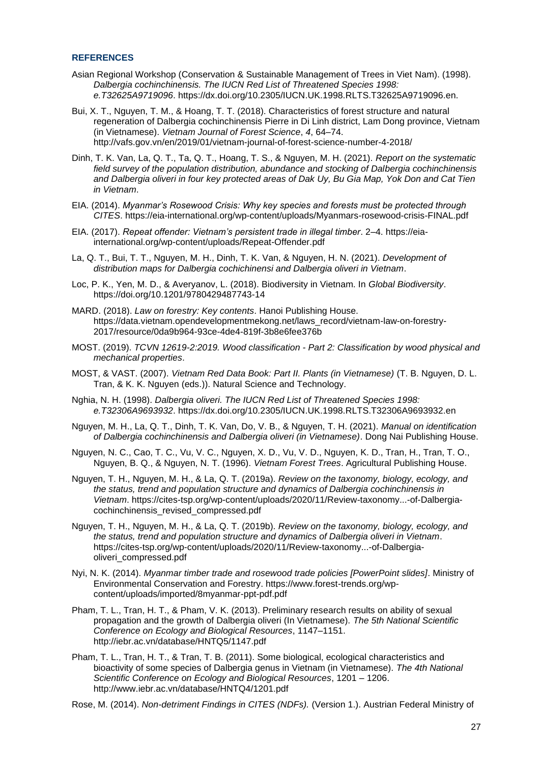#### <span id="page-26-0"></span>**REFERENCES**

- Asian Regional Workshop (Conservation & Sustainable Management of Trees in Viet Nam). (1998). Dalbergia cochinchinensis. The IUCN Red List of Threatened Species 1998: e.T32625A9719096. https://dx.doi.org/10.2305/IUCN.UK.1998.RLTS.T32625A9719096.en.
- Bui, X. T., Nguyen, T. M., & Hoang, T. T. (2018). Characteristics of forest structure and natural regeneration of Dalbergia cochinchinensis Pierre in Di Linh district, Lam Dong province, Vietnam (in Vietnamese). Vietnam Journal of Forest Science, 4, 64–74. http://vafs.gov.vn/en/2019/01/vietnam-journal-of-forest-science-number-4-2018/
- Dinh, T. K. Van, La, Q. T., Ta, Q. T., Hoang, T. S., & Nguyen, M. H. (2021). Report on the systematic field survey of the population distribution, abundance and stocking of Dalbergia cochinchinensis and Dalbergia oliveri in four key protected areas of Dak Uy, Bu Gia Map, Yok Don and Cat Tien in Vietnam.
- EIA. (2014). *Myanmar's Rosewood Crisis: Why key species and forests must be protected through*  CITES. https://eia-international.org/wp-content/uploads/Myanmars-rosewood-crisis-FINAL.pdf
- EIA. (2017). *Repeat offender: Vietnam's persistent trade in illegal timber*. 2–4. https://eiainternational.org/wp-content/uploads/Repeat-Offender.pdf
- La, Q. T., Bui, T. T., Nguyen, M. H., Dinh, T. K. Van, & Nguyen, H. N. (2021). Development of distribution maps for Dalbergia cochichinensi and Dalbergia oliveri in Vietnam.
- Loc, P. K., Yen, M. D., & Averyanov, L. (2018). Biodiversity in Vietnam. In Global Biodiversity. https://doi.org/10.1201/9780429487743-14
- MARD. (2018). Law on forestry: Key contents. Hanoi Publishing House. https://data.vietnam.opendevelopmentmekong.net/laws\_record/vietnam-law-on-forestry-2017/resource/0da9b964-93ce-4de4-819f-3b8e6fee376b
- MOST. (2019). TCVN 12619-2:2019. Wood classification Part 2: Classification by wood physical and mechanical properties.
- MOST, & VAST. (2007). Vietnam Red Data Book: Part II. Plants (in Vietnamese) (T. B. Nguyen, D. L. Tran, & K. K. Nguyen (eds.)). Natural Science and Technology.
- Nghia, N. H. (1998). Dalbergia oliveri. The IUCN Red List of Threatened Species 1998: e.T32306A9693932. https://dx.doi.org/10.2305/IUCN.UK.1998.RLTS.T32306A9693932.en
- Nguyen, M. H., La, Q. T., Dinh, T. K. Van, Do, V. B., & Nguyen, T. H. (2021). Manual on identification of Dalbergia cochinchinensis and Dalbergia oliveri (in Vietnamese). Dong Nai Publishing House.
- Nguyen, N. C., Cao, T. C., Vu, V. C., Nguyen, X. D., Vu, V. D., Nguyen, K. D., Tran, H., Tran, T. O., Nguyen, B. Q., & Nguyen, N. T. (1996). Vietnam Forest Trees. Agricultural Publishing House.
- Nguyen, T. H., Nguyen, M. H., & La, Q. T. (2019a). Review on the taxonomy, biology, ecology, and the status, trend and population structure and dynamics of Dalbergia cochinchinensis in Vietnam. https://cites-tsp.org/wp-content/uploads/2020/11/Review-taxonomy...-of-Dalbergiacochinchinensis\_revised\_compressed.pdf
- Nguyen, T. H., Nguyen, M. H., & La, Q. T. (2019b). Review on the taxonomy, biology, ecology, and the status, trend and population structure and dynamics of Dalbergia oliveri in Vietnam. https://cites-tsp.org/wp-content/uploads/2020/11/Review-taxonomy...-of-Dalbergiaoliveri\_compressed.pdf
- Nyi, N. K. (2014). Myanmar timber trade and rosewood trade policies [PowerPoint slides]. Ministry of Environmental Conservation and Forestry. https://www.forest-trends.org/wpcontent/uploads/imported/8myanmar-ppt-pdf.pdf
- Pham, T. L., Tran, H. T., & Pham, V. K. (2013). Preliminary research results on ability of sexual propagation and the growth of Dalbergia oliveri (In Vietnamese). The 5th National Scientific Conference on Ecology and Biological Resources, 1147–1151. http://iebr.ac.vn/database/HNTQ5/1147.pdf
- Pham, T. L., Tran, H. T., & Tran, T. B. (2011). Some biological, ecological characteristics and bioactivity of some species of Dalbergia genus in Vietnam (in Vietnamese). The 4th National Scientific Conference on Ecology and Biological Resources, 1201 – 1206. http://www.iebr.ac.vn/database/HNTQ4/1201.pdf
- Rose, M. (2014). Non-detriment Findings in CITES (NDFs). (Version 1.). Austrian Federal Ministry of